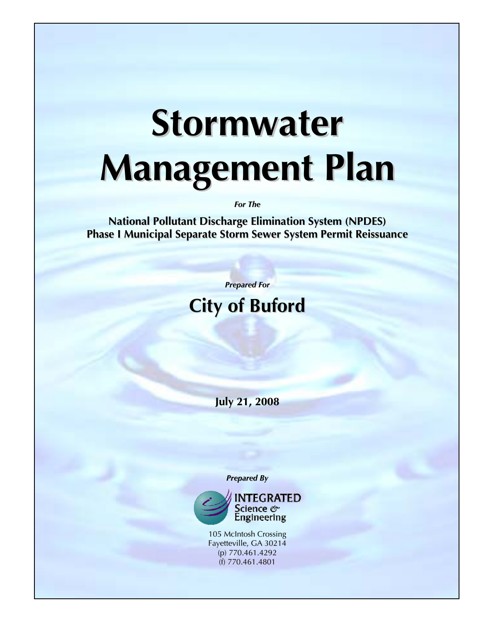# **Stormwater Management Plan**

*For The*

**National Pollutant Discharge Elimination System (NPDES) Phase I Municipal Separate Storm Sewer System Permit Reissuance**

*Prepared For*

# **City of Buford**

**July 21, 2008**

*Prepared By*



105 McIntosh Crossing Fayetteville, GA 30214 (p) 770.461.4292 (f) 770.461.4801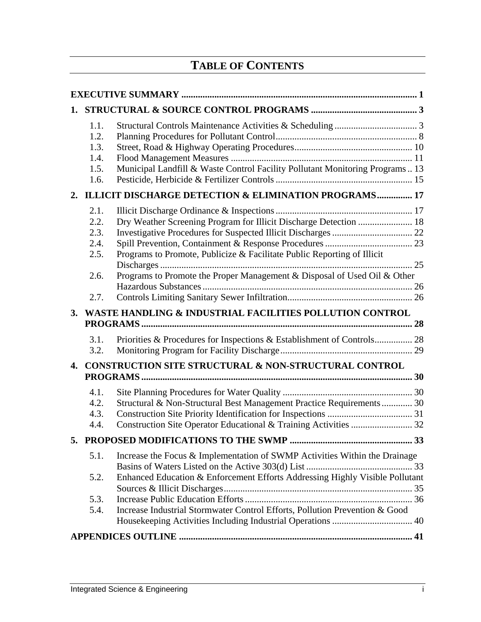# **TABLE OF CONTENTS**

| 1. |                                                          |                                                                                                                                                                                                                                           |    |  |  |  |  |
|----|----------------------------------------------------------|-------------------------------------------------------------------------------------------------------------------------------------------------------------------------------------------------------------------------------------------|----|--|--|--|--|
|    | 1.1.<br>1.2.<br>1.3.<br>1.4.<br>1.5.<br>1.6.             | Municipal Landfill & Waste Control Facility Pollutant Monitoring Programs 13                                                                                                                                                              |    |  |  |  |  |
|    |                                                          | 2. ILLICIT DISCHARGE DETECTION & ELIMINATION PROGRAMS 17                                                                                                                                                                                  |    |  |  |  |  |
|    | 2.1.<br>2.2.<br>2.3.<br>2.4.<br>2.5.<br>2.6.             | Dry Weather Screening Program for Illicit Discharge Detection  18<br>Programs to Promote, Publicize & Facilitate Public Reporting of Illicit<br>Programs to Promote the Proper Management & Disposal of Used Oil & Other                  |    |  |  |  |  |
|    | 2.7.                                                     |                                                                                                                                                                                                                                           |    |  |  |  |  |
| 3. | WASTE HANDLING & INDUSTRIAL FACILITIES POLLUTION CONTROL |                                                                                                                                                                                                                                           |    |  |  |  |  |
|    | 3.1.<br>3.2.                                             |                                                                                                                                                                                                                                           |    |  |  |  |  |
| 4. | CONSTRUCTION SITE STRUCTURAL & NON-STRUCTURAL CONTROL    |                                                                                                                                                                                                                                           |    |  |  |  |  |
|    | 4.1.<br>4.2.<br>4.3.<br>4.4.                             | Structural & Non-Structural Best Management Practice Requirements 30                                                                                                                                                                      |    |  |  |  |  |
|    |                                                          | 5. PROPOSED MODIFICATIONS TO THE SWMP                                                                                                                                                                                                     | 33 |  |  |  |  |
|    | 5.1.<br>5.2.<br>5.3.<br>5.4.                             | Increase the Focus & Implementation of SWMP Activities Within the Drainage<br>Enhanced Education & Enforcement Efforts Addressing Highly Visible Pollutant<br>Increase Industrial Stormwater Control Efforts, Pollution Prevention & Good |    |  |  |  |  |
|    |                                                          |                                                                                                                                                                                                                                           |    |  |  |  |  |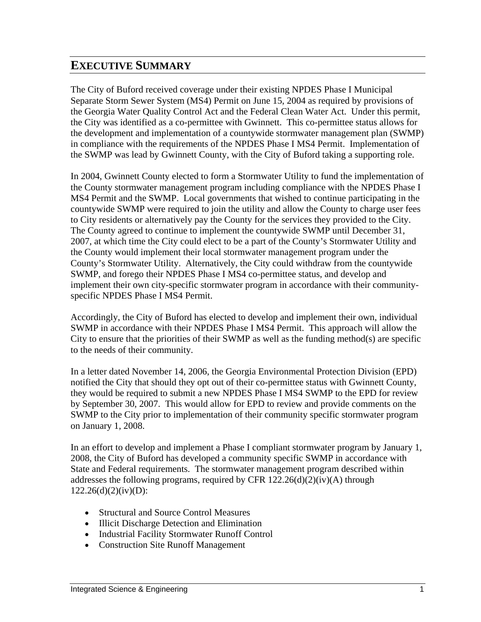# <span id="page-2-0"></span>**EXECUTIVE SUMMARY**

The City of Buford received coverage under their existing NPDES Phase I Municipal Separate Storm Sewer System (MS4) Permit on June 15, 2004 as required by provisions of the Georgia Water Quality Control Act and the Federal Clean Water Act. Under this permit, the City was identified as a co-permittee with Gwinnett. This co-permittee status allows for the development and implementation of a countywide stormwater management plan (SWMP) in compliance with the requirements of the NPDES Phase I MS4 Permit. Implementation of the SWMP was lead by Gwinnett County, with the City of Buford taking a supporting role.

In 2004, Gwinnett County elected to form a Stormwater Utility to fund the implementation of the County stormwater management program including compliance with the NPDES Phase I MS4 Permit and the SWMP. Local governments that wished to continue participating in the countywide SWMP were required to join the utility and allow the County to charge user fees to City residents or alternatively pay the County for the services they provided to the City. The County agreed to continue to implement the countywide SWMP until December 31, 2007, at which time the City could elect to be a part of the County's Stormwater Utility and the County would implement their local stormwater management program under the County's Stormwater Utility. Alternatively, the City could withdraw from the countywide SWMP, and forego their NPDES Phase I MS4 co-permittee status, and develop and implement their own city-specific stormwater program in accordance with their communityspecific NPDES Phase I MS4 Permit.

Accordingly, the City of Buford has elected to develop and implement their own, individual SWMP in accordance with their NPDES Phase I MS4 Permit. This approach will allow the City to ensure that the priorities of their SWMP as well as the funding method(s) are specific to the needs of their community.

In a letter dated November 14, 2006, the Georgia Environmental Protection Division (EPD) notified the City that should they opt out of their co-permittee status with Gwinnett County, they would be required to submit a new NPDES Phase I MS4 SWMP to the EPD for review by September 30, 2007. This would allow for EPD to review and provide comments on the SWMP to the City prior to implementation of their community specific stormwater program on January 1, 2008.

In an effort to develop and implement a Phase I compliant stormwater program by January 1, 2008, the City of Buford has developed a community specific SWMP in accordance with State and Federal requirements. The stormwater management program described within addresses the following programs, required by CFR  $122.26(d)(2)(iv)(A)$  through  $122.26(d)(2)(iv)(D)$ :

- Structural and Source Control Measures
- Illicit Discharge Detection and Elimination
- Industrial Facility Stormwater Runoff Control
- Construction Site Runoff Management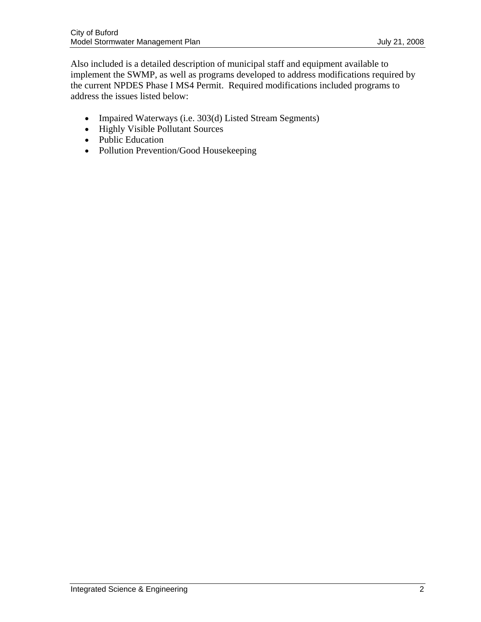Also included is a detailed description of municipal staff and equipment available to implement the SWMP, as well as programs developed to address modifications required by the current NPDES Phase I MS4 Permit. Required modifications included programs to address the issues listed below:

- Impaired Waterways (i.e. 303(d) Listed Stream Segments)
- Highly Visible Pollutant Sources
- Public Education
- Pollution Prevention/Good Housekeeping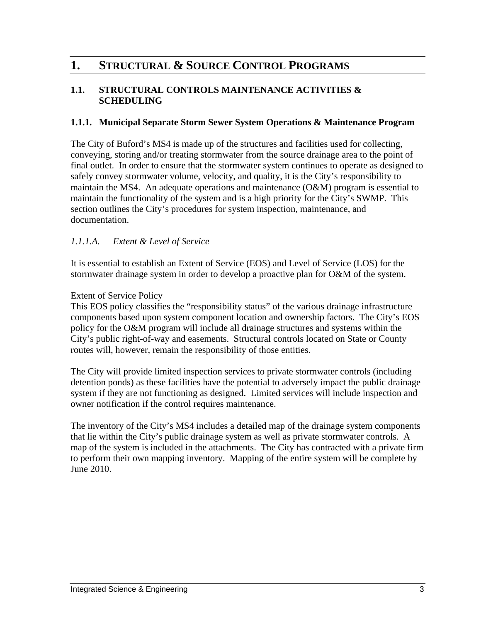# <span id="page-4-0"></span>**1. STRUCTURAL & SOURCE CONTROL PROGRAMS**

# **1.1. STRUCTURAL CONTROLS MAINTENANCE ACTIVITIES & SCHEDULING**

# **1.1.1. Municipal Separate Storm Sewer System Operations & Maintenance Program**

The City of Buford's MS4 is made up of the structures and facilities used for collecting, conveying, storing and/or treating stormwater from the source drainage area to the point of final outlet. In order to ensure that the stormwater system continues to operate as designed to safely convey stormwater volume, velocity, and quality, it is the City's responsibility to maintain the MS4. An adequate operations and maintenance (O&M) program is essential to maintain the functionality of the system and is a high priority for the City's SWMP. This section outlines the City's procedures for system inspection, maintenance, and documentation.

# *1.1.1.A. Extent & Level of Service*

It is essential to establish an Extent of Service (EOS) and Level of Service (LOS) for the stormwater drainage system in order to develop a proactive plan for O&M of the system.

# Extent of Service Policy

This EOS policy classifies the "responsibility status" of the various drainage infrastructure components based upon system component location and ownership factors. The City's EOS policy for the O&M program will include all drainage structures and systems within the City's public right-of-way and easements. Structural controls located on State or County routes will, however, remain the responsibility of those entities.

The City will provide limited inspection services to private stormwater controls (including detention ponds) as these facilities have the potential to adversely impact the public drainage system if they are not functioning as designed. Limited services will include inspection and owner notification if the control requires maintenance.

The inventory of the City's MS4 includes a detailed map of the drainage system components that lie within the City's public drainage system as well as private stormwater controls. A map of the system is included in the attachments. The City has contracted with a private firm to perform their own mapping inventory. Mapping of the entire system will be complete by June 2010.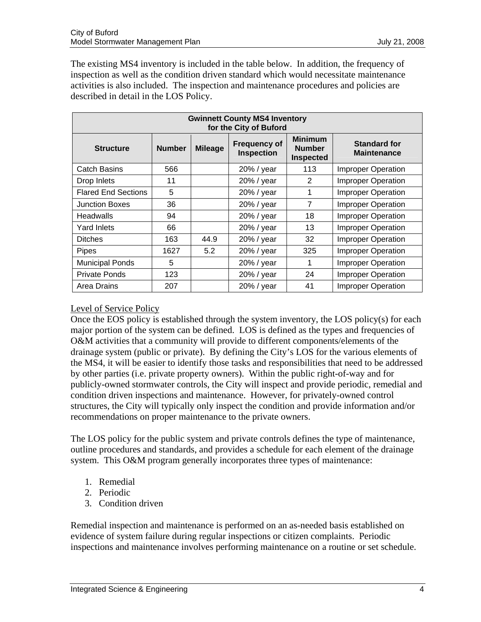The existing MS4 inventory is included in the table below. In addition, the frequency of inspection as well as the condition driven standard which would necessitate maintenance activities is also included. The inspection and maintenance procedures and policies are described in detail in the LOS Policy.

| <b>Gwinnett County MS4 Inventory</b><br>for the City of Buford |               |                |                                          |                                                     |                                           |  |
|----------------------------------------------------------------|---------------|----------------|------------------------------------------|-----------------------------------------------------|-------------------------------------------|--|
| <b>Structure</b>                                               | <b>Number</b> | <b>Mileage</b> | <b>Frequency of</b><br><b>Inspection</b> | <b>Minimum</b><br><b>Number</b><br><b>Inspected</b> | <b>Standard for</b><br><b>Maintenance</b> |  |
| <b>Catch Basins</b>                                            | 566           |                | 20% / year                               | 113                                                 | <b>Improper Operation</b>                 |  |
| Drop Inlets                                                    | 11            |                | 20% / year                               | 2                                                   | <b>Improper Operation</b>                 |  |
| <b>Flared End Sections</b>                                     | 5             |                | 20% / year                               | 1                                                   | <b>Improper Operation</b>                 |  |
| <b>Junction Boxes</b>                                          | 36            |                | 20% / year                               | $\overline{7}$                                      | <b>Improper Operation</b>                 |  |
| Headwalls                                                      | 94            |                | 20% / year                               | 18                                                  | <b>Improper Operation</b>                 |  |
| <b>Yard Inlets</b>                                             | 66            |                | 20% / year                               | 13                                                  | <b>Improper Operation</b>                 |  |
| <b>Ditches</b>                                                 | 163           | 44.9           | 20% / year                               | 32                                                  | <b>Improper Operation</b>                 |  |
| Pipes                                                          | 1627          | 5.2            | 20% / year                               | 325                                                 | <b>Improper Operation</b>                 |  |
| <b>Municipal Ponds</b>                                         | 5             |                | 20% / year                               | 1                                                   | <b>Improper Operation</b>                 |  |
| <b>Private Ponds</b>                                           | 123           |                | 20% / year                               | 24                                                  | <b>Improper Operation</b>                 |  |
| Area Drains                                                    | 207           |                | 20% / year                               | 41                                                  | <b>Improper Operation</b>                 |  |

# Level of Service Policy

Once the EOS policy is established through the system inventory, the LOS policy(s) for each major portion of the system can be defined. LOS is defined as the types and frequencies of O&M activities that a community will provide to different components/elements of the drainage system (public or private). By defining the City's LOS for the various elements of the MS4, it will be easier to identify those tasks and responsibilities that need to be addressed by other parties (i.e. private property owners). Within the public right-of-way and for publicly-owned stormwater controls, the City will inspect and provide periodic, remedial and condition driven inspections and maintenance. However, for privately-owned control structures, the City will typically only inspect the condition and provide information and/or recommendations on proper maintenance to the private owners.

The LOS policy for the public system and private controls defines the type of maintenance, outline procedures and standards, and provides a schedule for each element of the drainage system. This O&M program generally incorporates three types of maintenance:

- 1. Remedial
- 2. Periodic
- 3. Condition driven

Remedial inspection and maintenance is performed on an as-needed basis established on evidence of system failure during regular inspections or citizen complaints. Periodic inspections and maintenance involves performing maintenance on a routine or set schedule.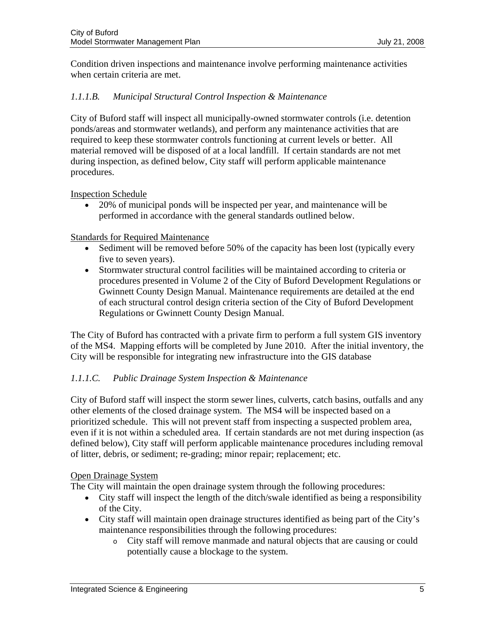Condition driven inspections and maintenance involve performing maintenance activities when certain criteria are met.

# *1.1.1.B. Municipal Structural Control Inspection & Maintenance*

City of Buford staff will inspect all municipally-owned stormwater controls (i.e. detention ponds/areas and stormwater wetlands), and perform any maintenance activities that are required to keep these stormwater controls functioning at current levels or better. All material removed will be disposed of at a local landfill. If certain standards are not met during inspection, as defined below, City staff will perform applicable maintenance procedures.

Inspection Schedule

• 20% of municipal ponds will be inspected per year, and maintenance will be performed in accordance with the general standards outlined below.

#### Standards for Required Maintenance

- Sediment will be removed before 50% of the capacity has been lost (typically every five to seven years).
- Stormwater structural control facilities will be maintained according to criteria or procedures presented in Volume 2 of the City of Buford Development Regulations or Gwinnett County Design Manual. Maintenance requirements are detailed at the end of each structural control design criteria section of the City of Buford Development Regulations or Gwinnett County Design Manual.

The City of Buford has contracted with a private firm to perform a full system GIS inventory of the MS4. Mapping efforts will be completed by June 2010. After the initial inventory, the City will be responsible for integrating new infrastructure into the GIS database

# *1.1.1.C. Public Drainage System Inspection & Maintenance*

City of Buford staff will inspect the storm sewer lines, culverts, catch basins, outfalls and any other elements of the closed drainage system. The MS4 will be inspected based on a prioritized schedule. This will not prevent staff from inspecting a suspected problem area, even if it is not within a scheduled area. If certain standards are not met during inspection (as defined below), City staff will perform applicable maintenance procedures including removal of litter, debris, or sediment; re-grading; minor repair; replacement; etc.

#### Open Drainage System

The City will maintain the open drainage system through the following procedures:

- City staff will inspect the length of the ditch/swale identified as being a responsibility of the City.
- City staff will maintain open drainage structures identified as being part of the City's maintenance responsibilities through the following procedures:
	- o City staff will remove manmade and natural objects that are causing or could potentially cause a blockage to the system.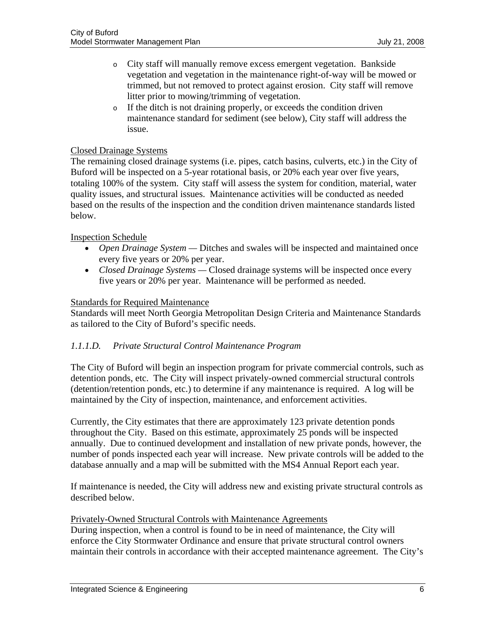- o City staff will manually remove excess emergent vegetation. Bankside vegetation and vegetation in the maintenance right-of-way will be mowed or trimmed, but not removed to protect against erosion. City staff will remove litter prior to mowing/trimming of vegetation.
- o If the ditch is not draining properly, or exceeds the condition driven maintenance standard for sediment (see below), City staff will address the issue.

## Closed Drainage Systems

The remaining closed drainage systems (i.e. pipes, catch basins, culverts, etc.) in the City of Buford will be inspected on a 5-year rotational basis, or 20% each year over five years, totaling 100% of the system. City staff will assess the system for condition, material, water quality issues, and structural issues. Maintenance activities will be conducted as needed based on the results of the inspection and the condition driven maintenance standards listed below.

# Inspection Schedule

- *Open Drainage System* Ditches and swales will be inspected and maintained once every five years or 20% per year.
- *Closed Drainage Systems* Closed drainage systems will be inspected once every five years or 20% per year. Maintenance will be performed as needed.

#### Standards for Required Maintenance

Standards will meet North Georgia Metropolitan Design Criteria and Maintenance Standards as tailored to the City of Buford's specific needs.

# *1.1.1.D. Private Structural Control Maintenance Program*

The City of Buford will begin an inspection program for private commercial controls, such as detention ponds, etc. The City will inspect privately-owned commercial structural controls (detention/retention ponds, etc.) to determine if any maintenance is required. A log will be maintained by the City of inspection, maintenance, and enforcement activities.

Currently, the City estimates that there are approximately 123 private detention ponds throughout the City. Based on this estimate, approximately 25 ponds will be inspected annually. Due to continued development and installation of new private ponds, however, the number of ponds inspected each year will increase. New private controls will be added to the database annually and a map will be submitted with the MS4 Annual Report each year.

If maintenance is needed, the City will address new and existing private structural controls as described below.

#### Privately-Owned Structural Controls with Maintenance Agreements

During inspection, when a control is found to be in need of maintenance, the City will enforce the City Stormwater Ordinance and ensure that private structural control owners maintain their controls in accordance with their accepted maintenance agreement. The City's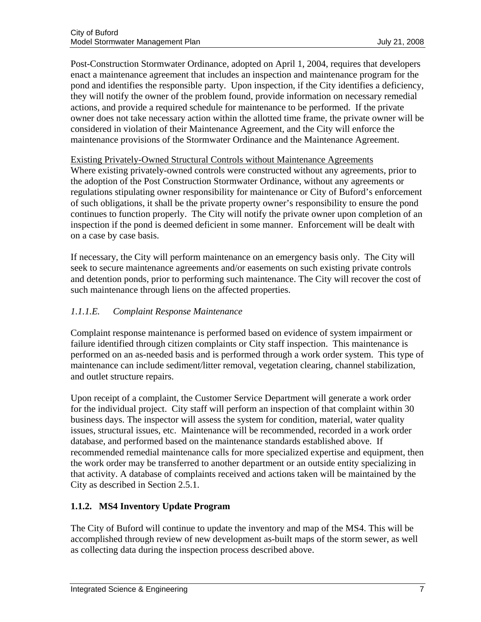Post-Construction Stormwater Ordinance, adopted on April 1, 2004, requires that developers enact a maintenance agreement that includes an inspection and maintenance program for the pond and identifies the responsible party. Upon inspection, if the City identifies a deficiency, they will notify the owner of the problem found, provide information on necessary remedial actions, and provide a required schedule for maintenance to be performed. If the private owner does not take necessary action within the allotted time frame, the private owner will be considered in violation of their Maintenance Agreement, and the City will enforce the maintenance provisions of the Stormwater Ordinance and the Maintenance Agreement.

# Existing Privately-Owned Structural Controls without Maintenance Agreements

Where existing privately-owned controls were constructed without any agreements, prior to the adoption of the Post Construction Stormwater Ordinance, without any agreements or regulations stipulating owner responsibility for maintenance or City of Buford's enforcement of such obligations, it shall be the private property owner's responsibility to ensure the pond continues to function properly. The City will notify the private owner upon completion of an inspection if the pond is deemed deficient in some manner. Enforcement will be dealt with on a case by case basis.

If necessary, the City will perform maintenance on an emergency basis only. The City will seek to secure maintenance agreements and/or easements on such existing private controls and detention ponds, prior to performing such maintenance. The City will recover the cost of such maintenance through liens on the affected properties.

# *1.1.1.E. Complaint Response Maintenance*

Complaint response maintenance is performed based on evidence of system impairment or failure identified through citizen complaints or City staff inspection. This maintenance is performed on an as-needed basis and is performed through a work order system. This type of maintenance can include sediment/litter removal, vegetation clearing, channel stabilization, and outlet structure repairs.

Upon receipt of a complaint, the Customer Service Department will generate a work order for the individual project. City staff will perform an inspection of that complaint within 30 business days. The inspector will assess the system for condition, material, water quality issues, structural issues, etc. Maintenance will be recommended, recorded in a work order database, and performed based on the maintenance standards established above. If recommended remedial maintenance calls for more specialized expertise and equipment, then the work order may be transferred to another department or an outside entity specializing in that activity. A database of complaints received and actions taken will be maintained by the City as described in Section 2.5.1.

# **1.1.2. MS4 Inventory Update Program**

The City of Buford will continue to update the inventory and map of the MS4. This will be accomplished through review of new development as-built maps of the storm sewer, as well as collecting data during the inspection process described above.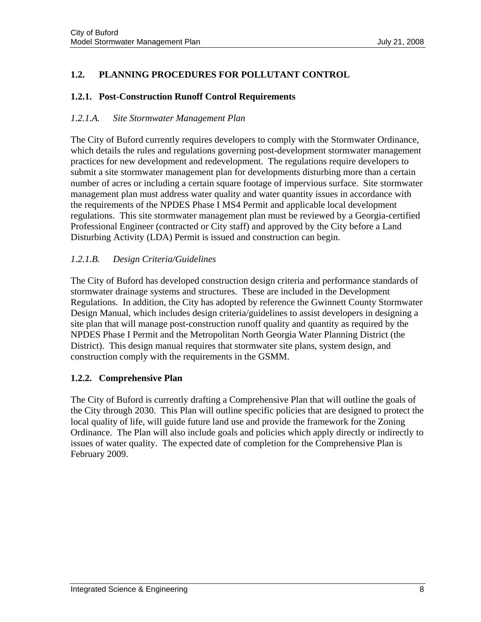# <span id="page-9-0"></span>**1.2. PLANNING PROCEDURES FOR POLLUTANT CONTROL**

# **1.2.1. Post-Construction Runoff Control Requirements**

# *1.2.1.A. Site Stormwater Management Plan*

The City of Buford currently requires developers to comply with the Stormwater Ordinance, which details the rules and regulations governing post-development stormwater management practices for new development and redevelopment. The regulations require developers to submit a site stormwater management plan for developments disturbing more than a certain number of acres or including a certain square footage of impervious surface. Site stormwater management plan must address water quality and water quantity issues in accordance with the requirements of the NPDES Phase I MS4 Permit and applicable local development regulations. This site stormwater management plan must be reviewed by a Georgia-certified Professional Engineer (contracted or City staff) and approved by the City before a Land Disturbing Activity (LDA) Permit is issued and construction can begin.

# *1.2.1.B. Design Criteria/Guidelines*

The City of Buford has developed construction design criteria and performance standards of stormwater drainage systems and structures. These are included in the Development Regulations. In addition, the City has adopted by reference the Gwinnett County Stormwater Design Manual, which includes design criteria/guidelines to assist developers in designing a site plan that will manage post-construction runoff quality and quantity as required by the NPDES Phase I Permit and the Metropolitan North Georgia Water Planning District (the District). This design manual requires that stormwater site plans, system design, and construction comply with the requirements in the GSMM.

# **1.2.2. Comprehensive Plan**

The City of Buford is currently drafting a Comprehensive Plan that will outline the goals of the City through 2030. This Plan will outline specific policies that are designed to protect the local quality of life, will guide future land use and provide the framework for the Zoning Ordinance. The Plan will also include goals and policies which apply directly or indirectly to issues of water quality. The expected date of completion for the Comprehensive Plan is February 2009.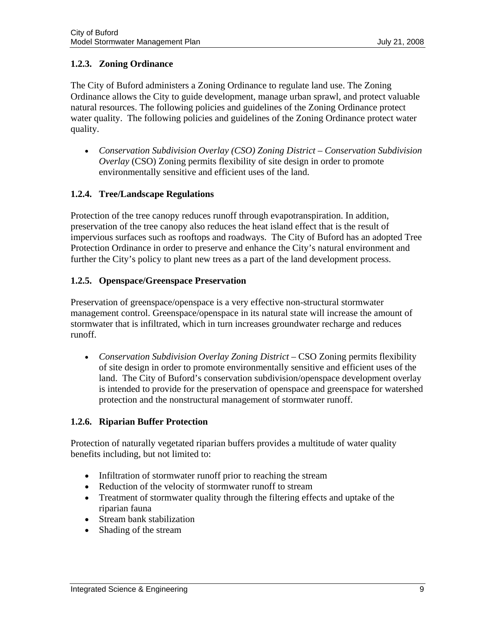# **1.2.3. Zoning Ordinance**

The City of Buford administers a Zoning Ordinance to regulate land use. The Zoning Ordinance allows the City to guide development, manage urban sprawl, and protect valuable natural resources. The following policies and guidelines of the Zoning Ordinance protect water quality. The following policies and guidelines of the Zoning Ordinance protect water quality.

• *Conservation Subdivision Overlay (CSO) Zoning District – Conservation Subdivision Overlay* (CSO) Zoning permits flexibility of site design in order to promote environmentally sensitive and efficient uses of the land.

# **1.2.4. Tree/Landscape Regulations**

Protection of the tree canopy reduces runoff through evapotranspiration. In addition, preservation of the tree canopy also reduces the heat island effect that is the result of impervious surfaces such as rooftops and roadways. The City of Buford has an adopted Tree Protection Ordinance in order to preserve and enhance the City's natural environment and further the City's policy to plant new trees as a part of the land development process.

# **1.2.5. Openspace/Greenspace Preservation**

Preservation of greenspace/openspace is a very effective non-structural stormwater management control. Greenspace/openspace in its natural state will increase the amount of stormwater that is infiltrated, which in turn increases groundwater recharge and reduces runoff.

• *Conservation Subdivision Overlay Zoning District* – CSO Zoning permits flexibility of site design in order to promote environmentally sensitive and efficient uses of the land. The City of Buford's conservation subdivision/openspace development overlay is intended to provide for the preservation of openspace and greenspace for watershed protection and the nonstructural management of stormwater runoff.

# **1.2.6. Riparian Buffer Protection**

Protection of naturally vegetated riparian buffers provides a multitude of water quality benefits including, but not limited to:

- Infiltration of stormwater runoff prior to reaching the stream
- Reduction of the velocity of stormwater runoff to stream
- Treatment of stormwater quality through the filtering effects and uptake of the riparian fauna
- Stream bank stabilization
- Shading of the stream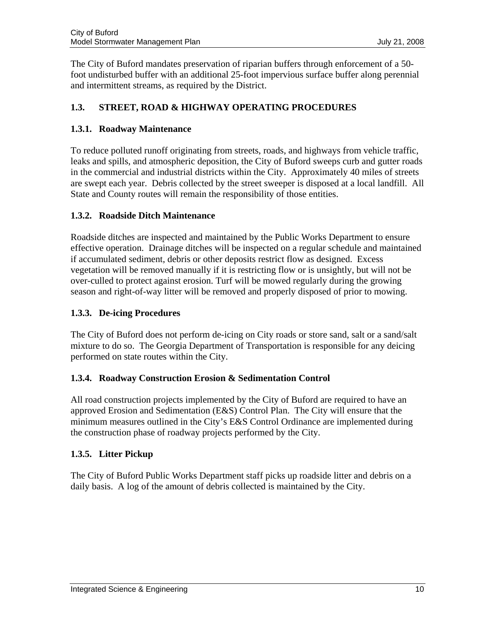<span id="page-11-0"></span>The City of Buford mandates preservation of riparian buffers through enforcement of a 50 foot undisturbed buffer with an additional 25-foot impervious surface buffer along perennial and intermittent streams, as required by the District.

# **1.3. STREET, ROAD & HIGHWAY OPERATING PROCEDURES**

# **1.3.1. Roadway Maintenance**

To reduce polluted runoff originating from streets, roads, and highways from vehicle traffic, leaks and spills, and atmospheric deposition, the City of Buford sweeps curb and gutter roads in the commercial and industrial districts within the City. Approximately 40 miles of streets are swept each year. Debris collected by the street sweeper is disposed at a local landfill. All State and County routes will remain the responsibility of those entities.

# **1.3.2. Roadside Ditch Maintenance**

Roadside ditches are inspected and maintained by the Public Works Department to ensure effective operation. Drainage ditches will be inspected on a regular schedule and maintained if accumulated sediment, debris or other deposits restrict flow as designed. Excess vegetation will be removed manually if it is restricting flow or is unsightly, but will not be over-culled to protect against erosion. Turf will be mowed regularly during the growing season and right-of-way litter will be removed and properly disposed of prior to mowing.

# **1.3.3. De-icing Procedures**

The City of Buford does not perform de-icing on City roads or store sand, salt or a sand/salt mixture to do so. The Georgia Department of Transportation is responsible for any deicing performed on state routes within the City.

# **1.3.4. Roadway Construction Erosion & Sedimentation Control**

All road construction projects implemented by the City of Buford are required to have an approved Erosion and Sedimentation (E&S) Control Plan. The City will ensure that the minimum measures outlined in the City's E&S Control Ordinance are implemented during the construction phase of roadway projects performed by the City.

# **1.3.5. Litter Pickup**

The City of Buford Public Works Department staff picks up roadside litter and debris on a daily basis. A log of the amount of debris collected is maintained by the City.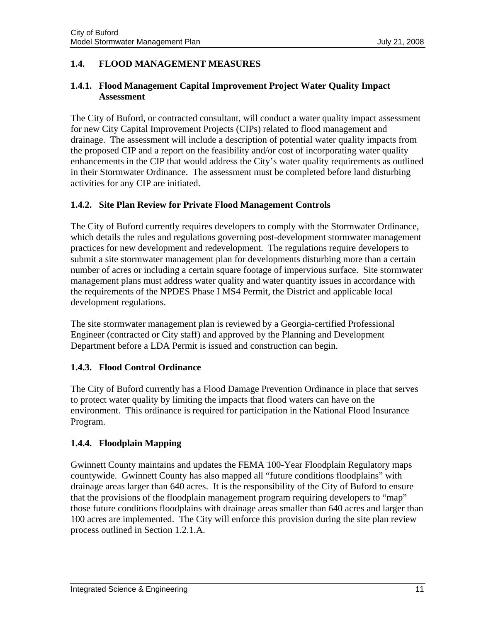# <span id="page-12-0"></span>**1.4. FLOOD MANAGEMENT MEASURES**

# **1.4.1. Flood Management Capital Improvement Project Water Quality Impact Assessment**

The City of Buford, or contracted consultant, will conduct a water quality impact assessment for new City Capital Improvement Projects (CIPs) related to flood management and drainage. The assessment will include a description of potential water quality impacts from the proposed CIP and a report on the feasibility and/or cost of incorporating water quality enhancements in the CIP that would address the City's water quality requirements as outlined in their Stormwater Ordinance. The assessment must be completed before land disturbing activities for any CIP are initiated.

# **1.4.2. Site Plan Review for Private Flood Management Controls**

The City of Buford currently requires developers to comply with the Stormwater Ordinance, which details the rules and regulations governing post-development stormwater management practices for new development and redevelopment. The regulations require developers to submit a site stormwater management plan for developments disturbing more than a certain number of acres or including a certain square footage of impervious surface. Site stormwater management plans must address water quality and water quantity issues in accordance with the requirements of the NPDES Phase I MS4 Permit, the District and applicable local development regulations.

The site stormwater management plan is reviewed by a Georgia-certified Professional Engineer (contracted or City staff) and approved by the Planning and Development Department before a LDA Permit is issued and construction can begin.

# **1.4.3. Flood Control Ordinance**

The City of Buford currently has a Flood Damage Prevention Ordinance in place that serves to protect water quality by limiting the impacts that flood waters can have on the environment. This ordinance is required for participation in the National Flood Insurance Program.

# **1.4.4. Floodplain Mapping**

Gwinnett County maintains and updates the FEMA 100-Year Floodplain Regulatory maps countywide. Gwinnett County has also mapped all "future conditions floodplains" with drainage areas larger than 640 acres. It is the responsibility of the City of Buford to ensure that the provisions of the floodplain management program requiring developers to "map" those future conditions floodplains with drainage areas smaller than 640 acres and larger than 100 acres are implemented. The City will enforce this provision during the site plan review process outlined in Section 1.2.1.A.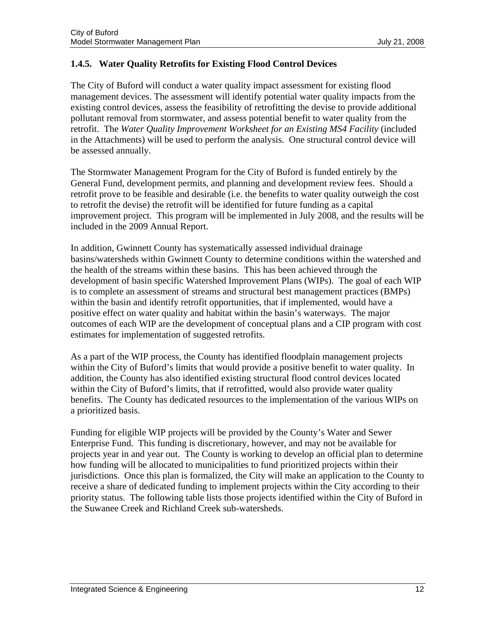# **1.4.5. Water Quality Retrofits for Existing Flood Control Devices**

The City of Buford will conduct a water quality impact assessment for existing flood management devices. The assessment will identify potential water quality impacts from the existing control devices, assess the feasibility of retrofitting the devise to provide additional pollutant removal from stormwater, and assess potential benefit to water quality from the retrofit. The *Water Quality Improvement Worksheet for an Existing MS4 Facility* (included in the Attachments) will be used to perform the analysis. One structural control device will be assessed annually.

The Stormwater Management Program for the City of Buford is funded entirely by the General Fund, development permits, and planning and development review fees. Should a retrofit prove to be feasible and desirable (i.e. the benefits to water quality outweigh the cost to retrofit the devise) the retrofit will be identified for future funding as a capital improvement project. This program will be implemented in July 2008, and the results will be included in the 2009 Annual Report.

In addition, Gwinnett County has systematically assessed individual drainage basins/watersheds within Gwinnett County to determine conditions within the watershed and the health of the streams within these basins. This has been achieved through the development of basin specific Watershed Improvement Plans (WIPs). The goal of each WIP is to complete an assessment of streams and structural best management practices (BMPs) within the basin and identify retrofit opportunities, that if implemented, would have a positive effect on water quality and habitat within the basin's waterways. The major outcomes of each WIP are the development of conceptual plans and a CIP program with cost estimates for implementation of suggested retrofits.

As a part of the WIP process, the County has identified floodplain management projects within the City of Buford's limits that would provide a positive benefit to water quality. In addition, the County has also identified existing structural flood control devices located within the City of Buford's limits, that if retrofitted, would also provide water quality benefits. The County has dedicated resources to the implementation of the various WIPs on a prioritized basis.

Funding for eligible WIP projects will be provided by the County's Water and Sewer Enterprise Fund. This funding is discretionary, however, and may not be available for projects year in and year out. The County is working to develop an official plan to determine how funding will be allocated to municipalities to fund prioritized projects within their jurisdictions. Once this plan is formalized, the City will make an application to the County to receive a share of dedicated funding to implement projects within the City according to their priority status. The following table lists those projects identified within the City of Buford in the Suwanee Creek and Richland Creek sub-watersheds.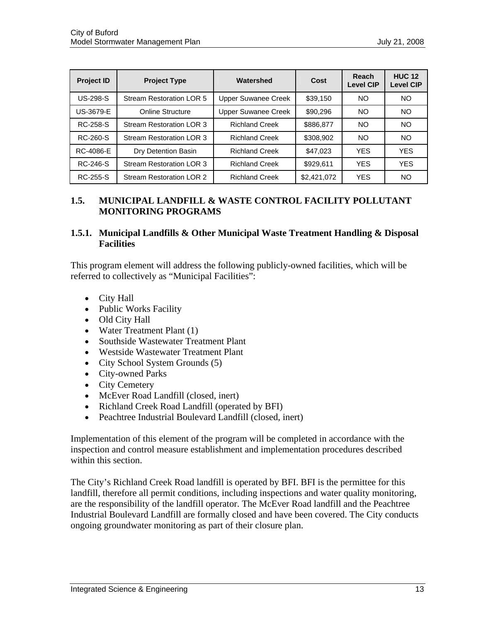<span id="page-14-0"></span>

| <b>Project ID</b> | Watershed<br><b>Project Type</b><br>Cost |                            |             | Reach<br><b>Level CIP</b> | <b>HUC 12</b><br><b>Level CIP</b> |
|-------------------|------------------------------------------|----------------------------|-------------|---------------------------|-----------------------------------|
| <b>US-298-S</b>   | <b>Stream Restoration LOR 5</b>          | <b>Upper Suwanee Creek</b> | \$39,150    | NO                        | <b>NO</b>                         |
| <b>US-3679-E</b>  | <b>Online Structure</b>                  | Upper Suwanee Creek        | \$90,296    | NO.                       | <b>NO</b>                         |
| RC-258-S          | <b>Stream Restoration LOR 3</b>          | <b>Richland Creek</b>      | \$886,877   | NO                        | N <sub>O</sub>                    |
| RC-260-S          | <b>Stream Restoration LOR 3</b>          | <b>Richland Creek</b>      | \$308,902   | NO.                       | N <sub>O</sub>                    |
| RC-4086-E         | Dry Detention Basin                      | <b>Richland Creek</b>      | \$47,023    | <b>YES</b>                | <b>YES</b>                        |
| RC-246-S          | <b>Stream Restoration LOR 3</b>          | <b>Richland Creek</b>      | \$929,611   | <b>YES</b>                | <b>YES</b>                        |
| RC-255-S          | <b>Stream Restoration LOR 2</b>          | <b>Richland Creek</b>      | \$2,421,072 | <b>YES</b>                | N <sub>O</sub>                    |

# **1.5. MUNICIPAL LANDFILL & WASTE CONTROL FACILITY POLLUTANT MONITORING PROGRAMS**

# **1.5.1. Municipal Landfills & Other Municipal Waste Treatment Handling & Disposal Facilities**

This program element will address the following publicly-owned facilities, which will be referred to collectively as "Municipal Facilities":

- City Hall
- Public Works Facility
- Old City Hall
- Water Treatment Plant (1)
- Southside Wastewater Treatment Plant
- Westside Wastewater Treatment Plant
- City School System Grounds (5)
- City-owned Parks
- City Cemetery
- McEver Road Landfill (closed, inert)
- Richland Creek Road Landfill (operated by BFI)
- Peachtree Industrial Boulevard Landfill (closed, inert)

Implementation of this element of the program will be completed in accordance with the inspection and control measure establishment and implementation procedures described within this section.

The City's Richland Creek Road landfill is operated by BFI. BFI is the permittee for this landfill, therefore all permit conditions, including inspections and water quality monitoring, are the responsibility of the landfill operator. The McEver Road landfill and the Peachtree Industrial Boulevard Landfill are formally closed and have been covered. The City conducts ongoing groundwater monitoring as part of their closure plan.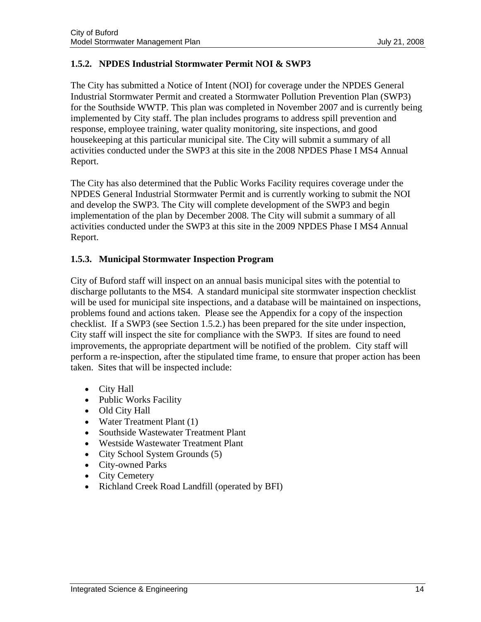# **1.5.2. NPDES Industrial Stormwater Permit NOI & SWP3**

The City has submitted a Notice of Intent (NOI) for coverage under the NPDES General Industrial Stormwater Permit and created a Stormwater Pollution Prevention Plan (SWP3) for the Southside WWTP. This plan was completed in November 2007 and is currently being implemented by City staff. The plan includes programs to address spill prevention and response, employee training, water quality monitoring, site inspections, and good housekeeping at this particular municipal site. The City will submit a summary of all activities conducted under the SWP3 at this site in the 2008 NPDES Phase I MS4 Annual Report.

The City has also determined that the Public Works Facility requires coverage under the NPDES General Industrial Stormwater Permit and is currently working to submit the NOI and develop the SWP3. The City will complete development of the SWP3 and begin implementation of the plan by December 2008. The City will submit a summary of all activities conducted under the SWP3 at this site in the 2009 NPDES Phase I MS4 Annual Report.

# **1.5.3. Municipal Stormwater Inspection Program**

City of Buford staff will inspect on an annual basis municipal sites with the potential to discharge pollutants to the MS4. A standard municipal site stormwater inspection checklist will be used for municipal site inspections, and a database will be maintained on inspections, problems found and actions taken. Please see the Appendix for a copy of the inspection checklist. If a SWP3 (see Section 1.5.2.) has been prepared for the site under inspection, City staff will inspect the site for compliance with the SWP3. If sites are found to need improvements, the appropriate department will be notified of the problem. City staff will perform a re-inspection, after the stipulated time frame, to ensure that proper action has been taken. Sites that will be inspected include:

- City Hall
- Public Works Facility
- Old City Hall
- Water Treatment Plant (1)
- Southside Wastewater Treatment Plant
- Westside Wastewater Treatment Plant
- City School System Grounds (5)
- City-owned Parks
- City Cemetery
- Richland Creek Road Landfill (operated by BFI)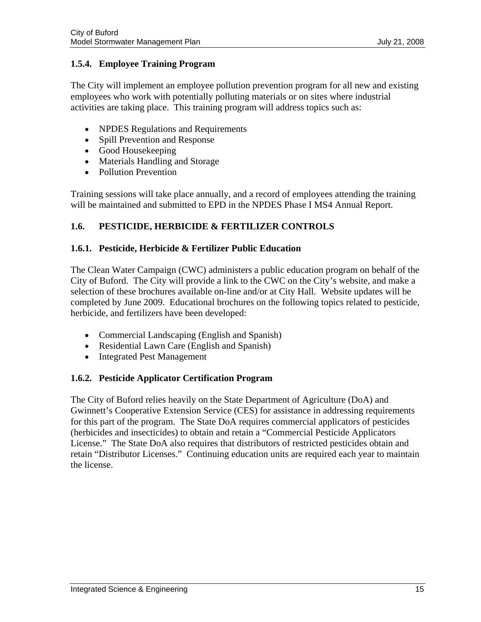# <span id="page-16-0"></span>**1.5.4. Employee Training Program**

The City will implement an employee pollution prevention program for all new and existing employees who work with potentially polluting materials or on sites where industrial activities are taking place. This training program will address topics such as:

- NPDES Regulations and Requirements
- Spill Prevention and Response
- Good Housekeeping
- Materials Handling and Storage
- Pollution Prevention

Training sessions will take place annually, and a record of employees attending the training will be maintained and submitted to EPD in the NPDES Phase I MS4 Annual Report.

# **1.6. PESTICIDE, HERBICIDE & FERTILIZER CONTROLS**

# **1.6.1. Pesticide, Herbicide & Fertilizer Public Education**

The Clean Water Campaign (CWC) administers a public education program on behalf of the City of Buford. The City will provide a link to the CWC on the City's website, and make a selection of these brochures available on-line and/or at City Hall. Website updates will be completed by June 2009. Educational brochures on the following topics related to pesticide, herbicide, and fertilizers have been developed:

- Commercial Landscaping (English and Spanish)
- Residential Lawn Care (English and Spanish)
- Integrated Pest Management

# **1.6.2. Pesticide Applicator Certification Program**

The City of Buford relies heavily on the State Department of Agriculture (DoA) and Gwinnett's Cooperative Extension Service (CES) for assistance in addressing requirements for this part of the program. The State DoA requires commercial applicators of pesticides (herbicides and insecticides) to obtain and retain a "Commercial Pesticide Applicators License." The State DoA also requires that distributors of restricted pesticides obtain and retain "Distributor Licenses." Continuing education units are required each year to maintain the license.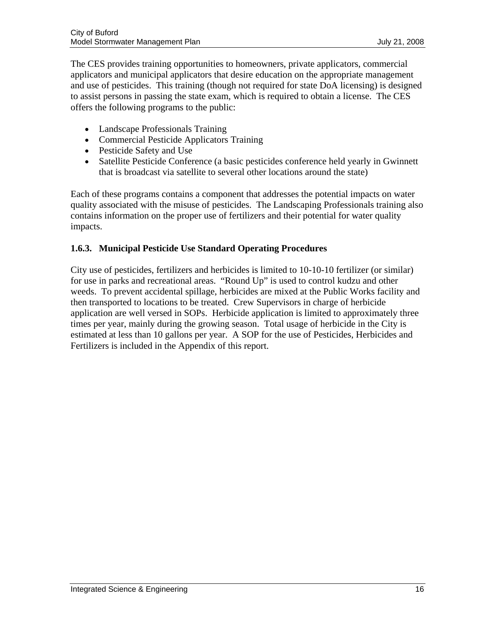The CES provides training opportunities to homeowners, private applicators, commercial applicators and municipal applicators that desire education on the appropriate management and use of pesticides. This training (though not required for state DoA licensing) is designed to assist persons in passing the state exam, which is required to obtain a license. The CES offers the following programs to the public:

- Landscape Professionals Training
- Commercial Pesticide Applicators Training
- Pesticide Safety and Use
- Satellite Pesticide Conference (a basic pesticides conference held yearly in Gwinnett that is broadcast via satellite to several other locations around the state)

Each of these programs contains a component that addresses the potential impacts on water quality associated with the misuse of pesticides. The Landscaping Professionals training also contains information on the proper use of fertilizers and their potential for water quality impacts.

# **1.6.3. Municipal Pesticide Use Standard Operating Procedures**

City use of pesticides, fertilizers and herbicides is limited to 10-10-10 fertilizer (or similar) for use in parks and recreational areas. "Round Up" is used to control kudzu and other weeds. To prevent accidental spillage, herbicides are mixed at the Public Works facility and then transported to locations to be treated. Crew Supervisors in charge of herbicide application are well versed in SOPs. Herbicide application is limited to approximately three times per year, mainly during the growing season. Total usage of herbicide in the City is estimated at less than 10 gallons per year. A SOP for the use of Pesticides, Herbicides and Fertilizers is included in the Appendix of this report.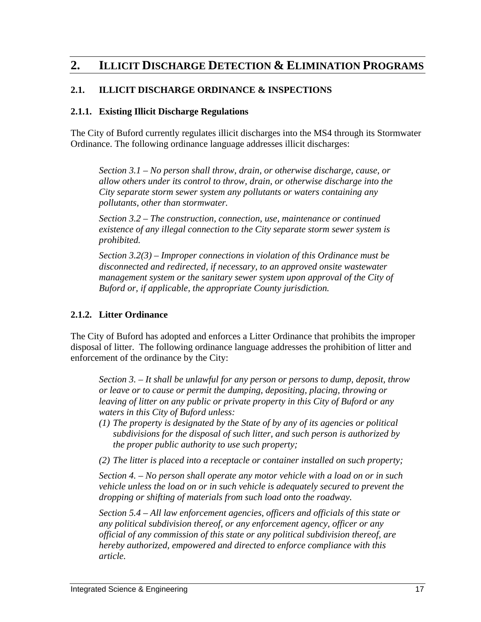# <span id="page-18-0"></span>**2. ILLICIT DISCHARGE DETECTION & ELIMINATION PROGRAMS**

# **2.1. ILLICIT DISCHARGE ORDINANCE & INSPECTIONS**

#### **2.1.1. Existing Illicit Discharge Regulations**

The City of Buford currently regulates illicit discharges into the MS4 through its Stormwater Ordinance. The following ordinance language addresses illicit discharges:

*Section 3.1 – No person shall throw, drain, or otherwise discharge, cause, or allow others under its control to throw, drain, or otherwise discharge into the City separate storm sewer system any pollutants or waters containing any pollutants, other than stormwater.* 

*Section 3.2 – The construction, connection, use, maintenance or continued existence of any illegal connection to the City separate storm sewer system is prohibited.* 

*Section 3.2(3) – Improper connections in violation of this Ordinance must be disconnected and redirected, if necessary, to an approved onsite wastewater management system or the sanitary sewer system upon approval of the City of Buford or, if applicable, the appropriate County jurisdiction.* 

#### **2.1.2. Litter Ordinance**

The City of Buford has adopted and enforces a Litter Ordinance that prohibits the improper disposal of litter. The following ordinance language addresses the prohibition of litter and enforcement of the ordinance by the City:

*Section 3. – It shall be unlawful for any person or persons to dump, deposit, throw or leave or to cause or permit the dumping, depositing, placing, throwing or leaving of litter on any public or private property in this City of Buford or any waters in this City of Buford unless:* 

- *(1) The property is designated by the State of by any of its agencies or political subdivisions for the disposal of such litter, and such person is authorized by the proper public authority to use such property;*
- *(2) The litter is placed into a receptacle or container installed on such property;*

*Section 4. – No person shall operate any motor vehicle with a load on or in such vehicle unless the load on or in such vehicle is adequately secured to prevent the dropping or shifting of materials from such load onto the roadway.* 

*Section 5.4 – All law enforcement agencies, officers and officials of this state or any political subdivision thereof, or any enforcement agency, officer or any official of any commission of this state or any political subdivision thereof, are hereby authorized, empowered and directed to enforce compliance with this article.*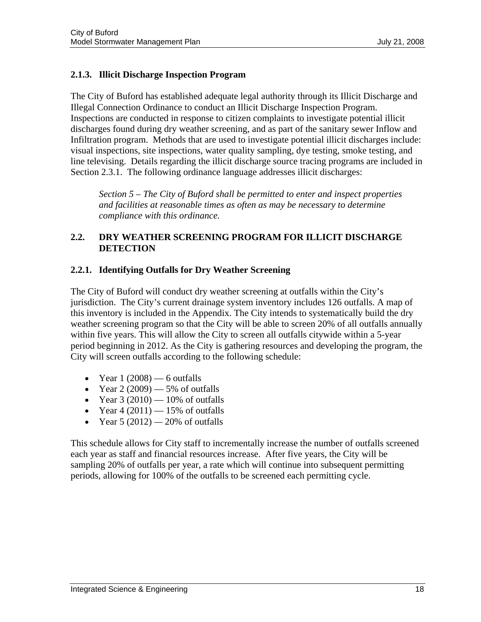# <span id="page-19-0"></span>**2.1.3. Illicit Discharge Inspection Program**

The City of Buford has established adequate legal authority through its Illicit Discharge and Illegal Connection Ordinance to conduct an Illicit Discharge Inspection Program. Inspections are conducted in response to citizen complaints to investigate potential illicit discharges found during dry weather screening, and as part of the sanitary sewer Inflow and Infiltration program. Methods that are used to investigate potential illicit discharges include: visual inspections, site inspections, water quality sampling, dye testing, smoke testing, and line televising. Details regarding the illicit discharge source tracing programs are included in Section 2.3.1. The following ordinance language addresses illicit discharges:

*Section 5 – The City of Buford shall be permitted to enter and inspect properties and facilities at reasonable times as often as may be necessary to determine compliance with this ordinance.* 

# **2.2. DRY WEATHER SCREENING PROGRAM FOR ILLICIT DISCHARGE DETECTION**

# **2.2.1. Identifying Outfalls for Dry Weather Screening**

The City of Buford will conduct dry weather screening at outfalls within the City's jurisdiction. The City's current drainage system inventory includes 126 outfalls. A map of this inventory is included in the Appendix. The City intends to systematically build the dry weather screening program so that the City will be able to screen 20% of all outfalls annually within five years. This will allow the City to screen all outfalls citywide within a 5-year period beginning in 2012. As the City is gathering resources and developing the program, the City will screen outfalls according to the following schedule:

- Year  $1(2008)$  6 outfalls
- Year  $2(2009)$  5% of outfalls
- Year  $3(2010) 10\%$  of outfalls
- Year  $4(2011) 15%$  of outfalls
- Year  $5(2012) 20\%$  of outfalls

This schedule allows for City staff to incrementally increase the number of outfalls screened each year as staff and financial resources increase. After five years, the City will be sampling 20% of outfalls per year, a rate which will continue into subsequent permitting periods, allowing for 100% of the outfalls to be screened each permitting cycle.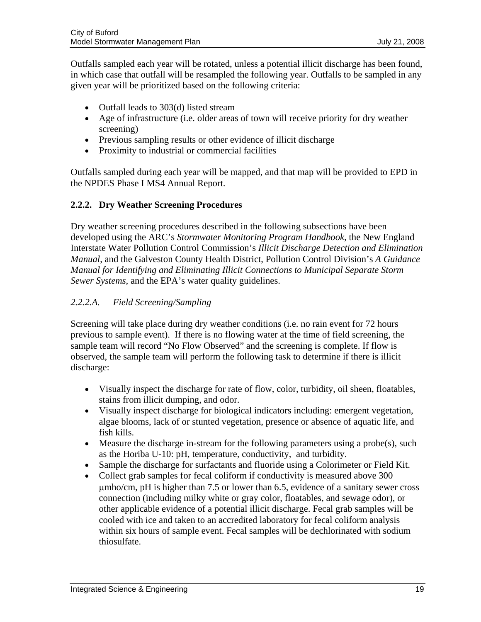Outfalls sampled each year will be rotated, unless a potential illicit discharge has been found, in which case that outfall will be resampled the following year. Outfalls to be sampled in any given year will be prioritized based on the following criteria:

- Outfall leads to 303(d) listed stream
- Age of infrastructure (i.e. older areas of town will receive priority for dry weather screening)
- Previous sampling results or other evidence of illicit discharge
- Proximity to industrial or commercial facilities

Outfalls sampled during each year will be mapped, and that map will be provided to EPD in the NPDES Phase I MS4 Annual Report.

# **2.2.2. Dry Weather Screening Procedures**

Dry weather screening procedures described in the following subsections have been developed using the ARC's *Stormwater Monitoring Program Handbook*, the New England Interstate Water Pollution Control Commission's *Illicit Discharge Detection and Elimination Manual*, and the Galveston County Health District, Pollution Control Division's *A Guidance Manual for Identifying and Eliminating Illicit Connections to Municipal Separate Storm Sewer Systems,* and the EPA's water quality guidelines.

# *2.2.2.A. Field Screening/Sampling*

Screening will take place during dry weather conditions (i.e. no rain event for 72 hours previous to sample event). If there is no flowing water at the time of field screening, the sample team will record "No Flow Observed" and the screening is complete. If flow is observed, the sample team will perform the following task to determine if there is illicit discharge:

- Visually inspect the discharge for rate of flow, color, turbidity, oil sheen, floatables, stains from illicit dumping, and odor.
- Visually inspect discharge for biological indicators including: emergent vegetation, algae blooms, lack of or stunted vegetation, presence or absence of aquatic life, and fish kills.
- Measure the discharge in-stream for the following parameters using a probe(s), such as the Horiba U-10: pH, temperature, conductivity, and turbidity.
- Sample the discharge for surfactants and fluoride using a Colorimeter or Field Kit.
- Collect grab samples for fecal coliform if conductivity is measured above 300 μmho/cm, pH is higher than 7.5 or lower than 6.5, evidence of a sanitary sewer cross connection (including milky white or gray color, floatables, and sewage odor), or other applicable evidence of a potential illicit discharge. Fecal grab samples will be cooled with ice and taken to an accredited laboratory for fecal coliform analysis within six hours of sample event. Fecal samples will be dechlorinated with sodium thiosulfate.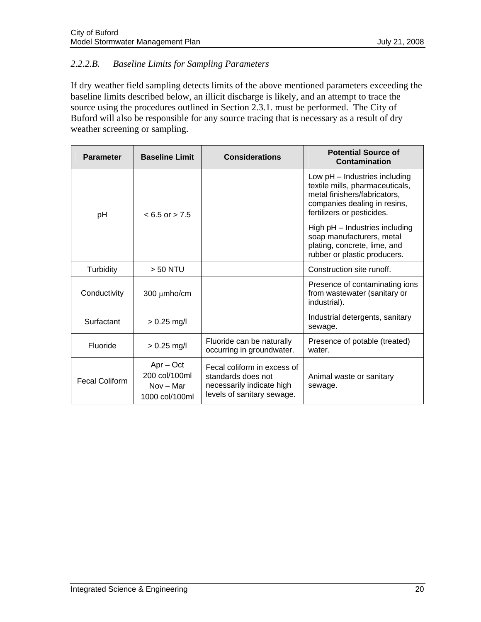# *2.2.2.B. Baseline Limits for Sampling Parameters*

If dry weather field sampling detects limits of the above mentioned parameters exceeding the baseline limits described below, an illicit discharge is likely, and an attempt to trace the source using the procedures outlined in Section 2.3.1. must be performed. The City of Buford will also be responsible for any source tracing that is necessary as a result of dry weather screening or sampling.

| <b>Parameter</b>      | <b>Baseline Limit</b>                                         | <b>Considerations</b>                                                                                        | <b>Potential Source of</b><br>Contamination                                                                                                                    |  |
|-----------------------|---------------------------------------------------------------|--------------------------------------------------------------------------------------------------------------|----------------------------------------------------------------------------------------------------------------------------------------------------------------|--|
| pH                    | $< 6.5$ or $> 7.5$                                            |                                                                                                              | Low pH - Industries including<br>textile mills, pharmaceuticals,<br>metal finishers/fabricators,<br>companies dealing in resins,<br>fertilizers or pesticides. |  |
|                       |                                                               |                                                                                                              | High pH - Industries including<br>soap manufacturers, metal<br>plating, concrete, lime, and<br>rubber or plastic producers.                                    |  |
| <b>Turbidity</b>      | $> 50$ NTU                                                    |                                                                                                              | Construction site runoff.                                                                                                                                      |  |
| Conductivity          | 300 µmho/cm                                                   |                                                                                                              | Presence of contaminating ions<br>from wastewater (sanitary or<br>industrial).                                                                                 |  |
| Surfactant            | $> 0.25$ mg/l                                                 |                                                                                                              | Industrial detergents, sanitary<br>sewage.                                                                                                                     |  |
| Fluoride              | $> 0.25$ mg/l                                                 | Fluoride can be naturally<br>occurring in groundwater.                                                       | Presence of potable (treated)<br>water.                                                                                                                        |  |
| <b>Fecal Coliform</b> | $Apr - Oct$<br>200 col/100ml<br>$Nov - Mar$<br>1000 col/100ml | Fecal coliform in excess of<br>standards does not<br>necessarily indicate high<br>levels of sanitary sewage. | Animal waste or sanitary<br>sewage.                                                                                                                            |  |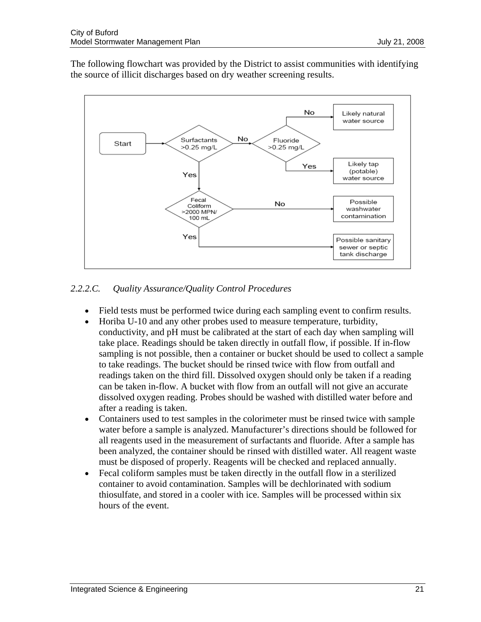The following flowchart was provided by the District to assist communities with identifying the source of illicit discharges based on dry weather screening results.



# *2.2.2.C. Quality Assurance/Quality Control Procedures*

- Field tests must be performed twice during each sampling event to confirm results.
- Horiba U-10 and any other probes used to measure temperature, turbidity, conductivity, and pH must be calibrated at the start of each day when sampling will take place. Readings should be taken directly in outfall flow, if possible. If in-flow sampling is not possible, then a container or bucket should be used to collect a sample to take readings. The bucket should be rinsed twice with flow from outfall and readings taken on the third fill. Dissolved oxygen should only be taken if a reading can be taken in-flow. A bucket with flow from an outfall will not give an accurate dissolved oxygen reading. Probes should be washed with distilled water before and after a reading is taken.
- Containers used to test samples in the colorimeter must be rinsed twice with sample water before a sample is analyzed. Manufacturer's directions should be followed for all reagents used in the measurement of surfactants and fluoride. After a sample has been analyzed, the container should be rinsed with distilled water. All reagent waste must be disposed of properly. Reagents will be checked and replaced annually.
- Fecal coliform samples must be taken directly in the outfall flow in a sterilized container to avoid contamination. Samples will be dechlorinated with sodium thiosulfate, and stored in a cooler with ice. Samples will be processed within six hours of the event.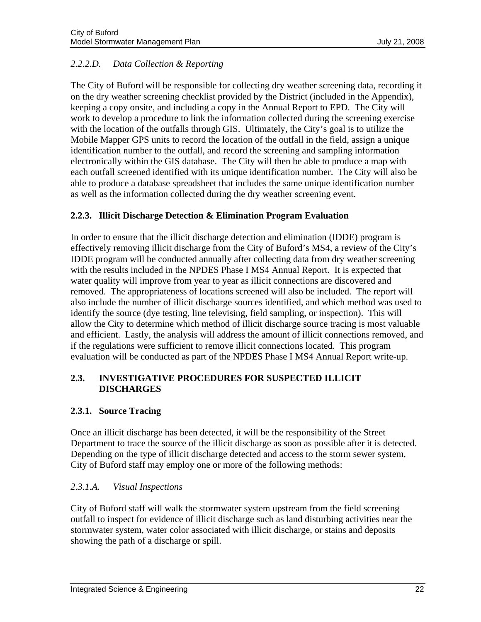# <span id="page-23-0"></span>*2.2.2.D. Data Collection & Reporting*

The City of Buford will be responsible for collecting dry weather screening data, recording it on the dry weather screening checklist provided by the District (included in the Appendix), keeping a copy onsite, and including a copy in the Annual Report to EPD. The City will work to develop a procedure to link the information collected during the screening exercise with the location of the outfalls through GIS. Ultimately, the City's goal is to utilize the Mobile Mapper GPS units to record the location of the outfall in the field, assign a unique identification number to the outfall, and record the screening and sampling information electronically within the GIS database. The City will then be able to produce a map with each outfall screened identified with its unique identification number. The City will also be able to produce a database spreadsheet that includes the same unique identification number as well as the information collected during the dry weather screening event.

# **2.2.3. Illicit Discharge Detection & Elimination Program Evaluation**

In order to ensure that the illicit discharge detection and elimination (IDDE) program is effectively removing illicit discharge from the City of Buford's MS4, a review of the City's IDDE program will be conducted annually after collecting data from dry weather screening with the results included in the NPDES Phase I MS4 Annual Report. It is expected that water quality will improve from year to year as illicit connections are discovered and removed. The appropriateness of locations screened will also be included. The report will also include the number of illicit discharge sources identified, and which method was used to identify the source (dye testing, line televising, field sampling, or inspection). This will allow the City to determine which method of illicit discharge source tracing is most valuable and efficient. Lastly, the analysis will address the amount of illicit connections removed, and if the regulations were sufficient to remove illicit connections located. This program evaluation will be conducted as part of the NPDES Phase I MS4 Annual Report write-up.

# **2.3. INVESTIGATIVE PROCEDURES FOR SUSPECTED ILLICIT DISCHARGES**

# **2.3.1. Source Tracing**

Once an illicit discharge has been detected, it will be the responsibility of the Street Department to trace the source of the illicit discharge as soon as possible after it is detected. Depending on the type of illicit discharge detected and access to the storm sewer system, City of Buford staff may employ one or more of the following methods:

# *2.3.1.A. Visual Inspections*

City of Buford staff will walk the stormwater system upstream from the field screening outfall to inspect for evidence of illicit discharge such as land disturbing activities near the stormwater system, water color associated with illicit discharge, or stains and deposits showing the path of a discharge or spill.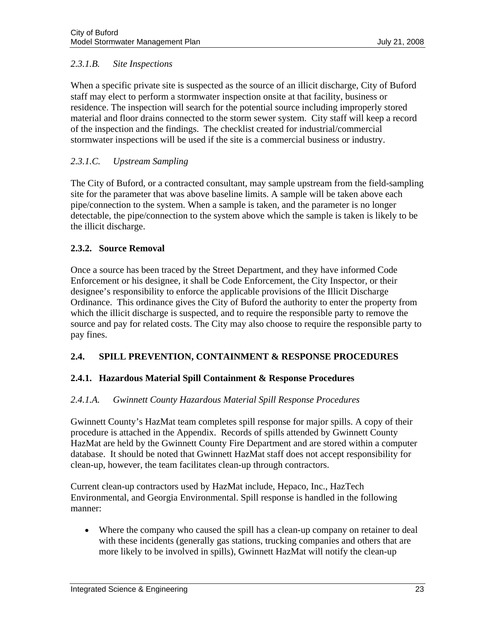# <span id="page-24-0"></span>*2.3.1.B. Site Inspections*

When a specific private site is suspected as the source of an illicit discharge, City of Buford staff may elect to perform a stormwater inspection onsite at that facility, business or residence. The inspection will search for the potential source including improperly stored material and floor drains connected to the storm sewer system. City staff will keep a record of the inspection and the findings. The checklist created for industrial/commercial stormwater inspections will be used if the site is a commercial business or industry.

# *2.3.1.C. Upstream Sampling*

The City of Buford, or a contracted consultant, may sample upstream from the field-sampling site for the parameter that was above baseline limits. A sample will be taken above each pipe/connection to the system. When a sample is taken, and the parameter is no longer detectable, the pipe/connection to the system above which the sample is taken is likely to be the illicit discharge.

# **2.3.2. Source Removal**

Once a source has been traced by the Street Department, and they have informed Code Enforcement or his designee, it shall be Code Enforcement, the City Inspector, or their designee's responsibility to enforce the applicable provisions of the Illicit Discharge Ordinance. This ordinance gives the City of Buford the authority to enter the property from which the illicit discharge is suspected, and to require the responsible party to remove the source and pay for related costs. The City may also choose to require the responsible party to pay fines.

# **2.4. SPILL PREVENTION, CONTAINMENT & RESPONSE PROCEDURES**

# **2.4.1. Hazardous Material Spill Containment & Response Procedures**

# *2.4.1.A. Gwinnett County Hazardous Material Spill Response Procedures*

Gwinnett County's HazMat team completes spill response for major spills. A copy of their procedure is attached in the Appendix. Records of spills attended by Gwinnett County HazMat are held by the Gwinnett County Fire Department and are stored within a computer database. It should be noted that Gwinnett HazMat staff does not accept responsibility for clean-up, however, the team facilitates clean-up through contractors.

Current clean-up contractors used by HazMat include, Hepaco, Inc., HazTech Environmental, and Georgia Environmental. Spill response is handled in the following manner:

• Where the company who caused the spill has a clean-up company on retainer to deal with these incidents (generally gas stations, trucking companies and others that are more likely to be involved in spills), Gwinnett HazMat will notify the clean-up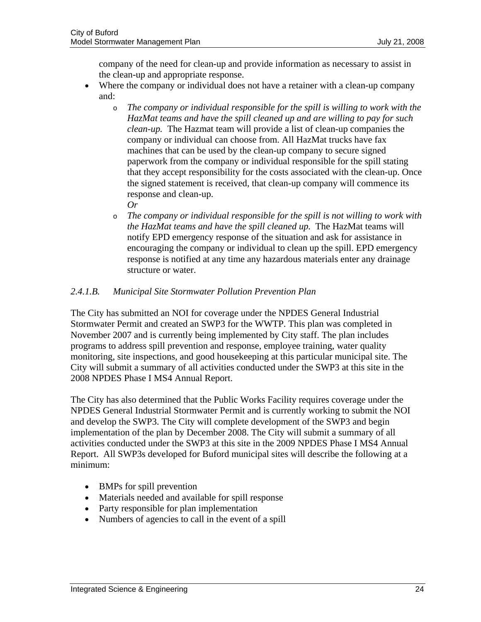company of the need for clean-up and provide information as necessary to assist in the clean-up and appropriate response.

- Where the company or individual does not have a retainer with a clean-up company and:
	- o *The company or individual responsible for the spill is willing to work with the HazMat teams and have the spill cleaned up and are willing to pay for such clean-up.* The Hazmat team will provide a list of clean-up companies the company or individual can choose from. All HazMat trucks have fax machines that can be used by the clean-up company to secure signed paperwork from the company or individual responsible for the spill stating that they accept responsibility for the costs associated with the clean-up. Once the signed statement is received, that clean-up company will commence its response and clean-up.

*Or*

o *The company or individual responsible for the spill is not willing to work with the HazMat teams and have the spill cleaned up.* The HazMat teams will notify EPD emergency response of the situation and ask for assistance in encouraging the company or individual to clean up the spill. EPD emergency response is notified at any time any hazardous materials enter any drainage structure or water.

# *2.4.1.B. Municipal Site Stormwater Pollution Prevention Plan*

The City has submitted an NOI for coverage under the NPDES General Industrial Stormwater Permit and created an SWP3 for the WWTP. This plan was completed in November 2007 and is currently being implemented by City staff. The plan includes programs to address spill prevention and response, employee training, water quality monitoring, site inspections, and good housekeeping at this particular municipal site. The City will submit a summary of all activities conducted under the SWP3 at this site in the 2008 NPDES Phase I MS4 Annual Report.

The City has also determined that the Public Works Facility requires coverage under the NPDES General Industrial Stormwater Permit and is currently working to submit the NOI and develop the SWP3. The City will complete development of the SWP3 and begin implementation of the plan by December 2008. The City will submit a summary of all activities conducted under the SWP3 at this site in the 2009 NPDES Phase I MS4 Annual Report. All SWP3s developed for Buford municipal sites will describe the following at a minimum:

- BMPs for spill prevention
- Materials needed and available for spill response
- Party responsible for plan implementation
- Numbers of agencies to call in the event of a spill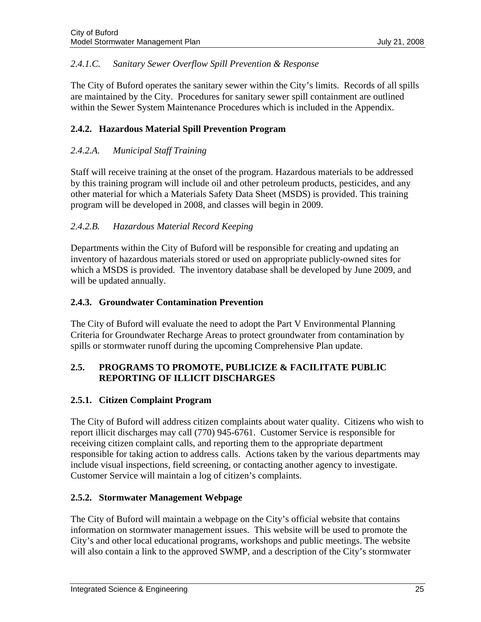# <span id="page-26-0"></span>*2.4.1.C. Sanitary Sewer Overflow Spill Prevention & Response*

The City of Buford operates the sanitary sewer within the City's limits. Records of all spills are maintained by the City. Procedures for sanitary sewer spill containment are outlined within the Sewer System Maintenance Procedures which is included in the Appendix.

# **2.4.2. Hazardous Material Spill Prevention Program**

# *2.4.2.A. Municipal Staff Training*

Staff will receive training at the onset of the program. Hazardous materials to be addressed by this training program will include oil and other petroleum products, pesticides, and any other material for which a Materials Safety Data Sheet (MSDS) is provided. This training program will be developed in 2008, and classes will begin in 2009.

# *2.4.2.B. Hazardous Material Record Keeping*

Departments within the City of Buford will be responsible for creating and updating an inventory of hazardous materials stored or used on appropriate publicly-owned sites for which a MSDS is provided. The inventory database shall be developed by June 2009, and will be updated annually.

# **2.4.3. Groundwater Contamination Prevention**

The City of Buford will evaluate the need to adopt the Part V Environmental Planning Criteria for Groundwater Recharge Areas to protect groundwater from contamination by spills or stormwater runoff during the upcoming Comprehensive Plan update.

# **2.5. PROGRAMS TO PROMOTE, PUBLICIZE & FACILITATE PUBLIC REPORTING OF ILLICIT DISCHARGES**

# **2.5.1. Citizen Complaint Program**

The City of Buford will address citizen complaints about water quality. Citizens who wish to report illicit discharges may call (770) 945-6761. Customer Service is responsible for receiving citizen complaint calls, and reporting them to the appropriate department responsible for taking action to address calls. Actions taken by the various departments may include visual inspections, field screening, or contacting another agency to investigate. Customer Service will maintain a log of citizen's complaints.

# **2.5.2. Stormwater Management Webpage**

The City of Buford will maintain a webpage on the City's official website that contains information on stormwater management issues. This website will be used to promote the City's and other local educational programs, workshops and public meetings. The website will also contain a link to the approved SWMP, and a description of the City's stormwater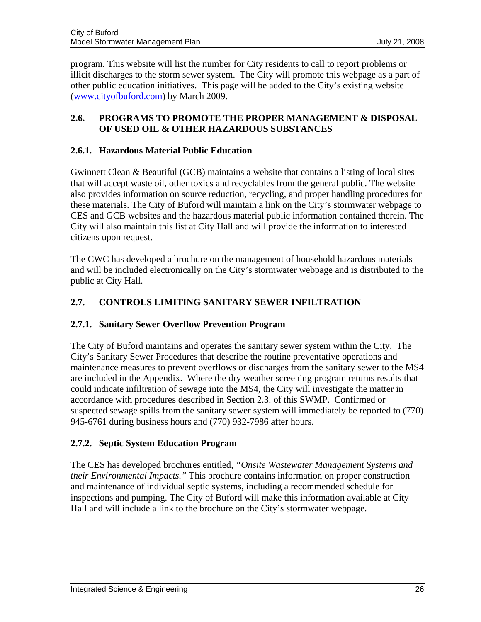<span id="page-27-0"></span>program. This website will list the number for City residents to call to report problems or illicit discharges to the storm sewer system. The City will promote this webpage as a part of other public education initiatives. This page will be added to the City's existing website ([www.cityofbuford.com\)](http://www.cityofbuford.com/) by March 2009.

# **2.6. PROGRAMS TO PROMOTE THE PROPER MANAGEMENT & DISPOSAL OF USED OIL & OTHER HAZARDOUS SUBSTANCES**

# **2.6.1. Hazardous Material Public Education**

Gwinnett Clean & Beautiful (GCB) maintains a website that contains a listing of local sites that will accept waste oil, other toxics and recyclables from the general public. The website also provides information on source reduction, recycling, and proper handling procedures for these materials. The City of Buford will maintain a link on the City's stormwater webpage to CES and GCB websites and the hazardous material public information contained therein. The City will also maintain this list at City Hall and will provide the information to interested citizens upon request.

The CWC has developed a brochure on the management of household hazardous materials and will be included electronically on the City's stormwater webpage and is distributed to the public at City Hall.

# **2.7. CONTROLS LIMITING SANITARY SEWER INFILTRATION**

# **2.7.1. Sanitary Sewer Overflow Prevention Program**

The City of Buford maintains and operates the sanitary sewer system within the City. The City's Sanitary Sewer Procedures that describe the routine preventative operations and maintenance measures to prevent overflows or discharges from the sanitary sewer to the MS4 are included in the Appendix. Where the dry weather screening program returns results that could indicate infiltration of sewage into the MS4, the City will investigate the matter in accordance with procedures described in Section 2.3. of this SWMP. Confirmed or suspected sewage spills from the sanitary sewer system will immediately be reported to (770) 945-6761 during business hours and (770) 932-7986 after hours.

# **2.7.2. Septic System Education Program**

The CES has developed brochures entitled, *"Onsite Wastewater Management Systems and their Environmental Impacts."* This brochure contains information on proper construction and maintenance of individual septic systems, including a recommended schedule for inspections and pumping. The City of Buford will make this information available at City Hall and will include a link to the brochure on the City's stormwater webpage.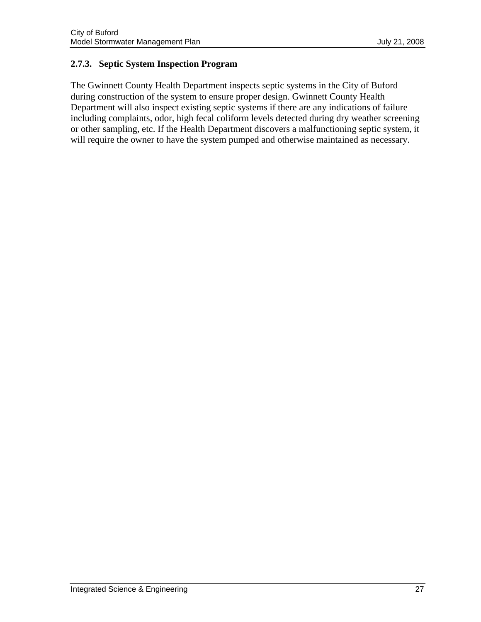# **2.7.3. Septic System Inspection Program**

The Gwinnett County Health Department inspects septic systems in the City of Buford during construction of the system to ensure proper design. Gwinnett County Health Department will also inspect existing septic systems if there are any indications of failure including complaints, odor, high fecal coliform levels detected during dry weather screening or other sampling, etc. If the Health Department discovers a malfunctioning septic system, it will require the owner to have the system pumped and otherwise maintained as necessary.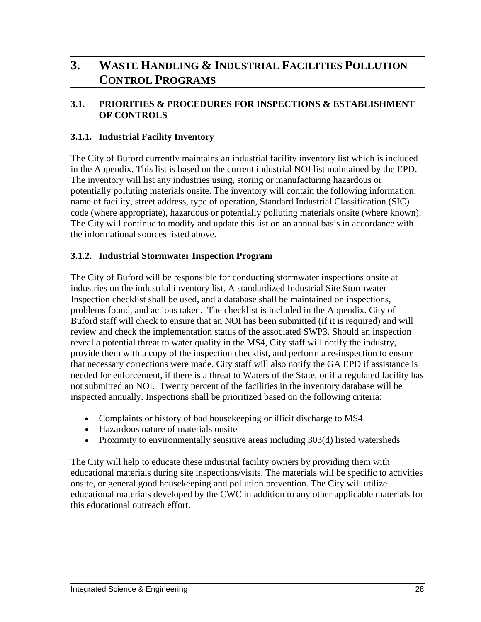# <span id="page-29-0"></span>**3. WASTE HANDLING & INDUSTRIAL FACILITIES POLLUTION CONTROL PROGRAMS**

# **3.1. PRIORITIES & PROCEDURES FOR INSPECTIONS & ESTABLISHMENT OF CONTROLS**

# **3.1.1. Industrial Facility Inventory**

The City of Buford currently maintains an industrial facility inventory list which is included in the Appendix. This list is based on the current industrial NOI list maintained by the EPD. The inventory will list any industries using, storing or manufacturing hazardous or potentially polluting materials onsite. The inventory will contain the following information: name of facility, street address, type of operation, Standard Industrial Classification (SIC) code (where appropriate), hazardous or potentially polluting materials onsite (where known). The City will continue to modify and update this list on an annual basis in accordance with the informational sources listed above.

# **3.1.2. Industrial Stormwater Inspection Program**

The City of Buford will be responsible for conducting stormwater inspections onsite at industries on the industrial inventory list. A standardized Industrial Site Stormwater Inspection checklist shall be used, and a database shall be maintained on inspections, problems found, and actions taken. The checklist is included in the Appendix. City of Buford staff will check to ensure that an NOI has been submitted (if it is required) and will review and check the implementation status of the associated SWP3. Should an inspection reveal a potential threat to water quality in the MS4, City staff will notify the industry, provide them with a copy of the inspection checklist, and perform a re-inspection to ensure that necessary corrections were made. City staff will also notify the GA EPD if assistance is needed for enforcement, if there is a threat to Waters of the State, or if a regulated facility has not submitted an NOI. Twenty percent of the facilities in the inventory database will be inspected annually. Inspections shall be prioritized based on the following criteria:

- Complaints or history of bad house keeping or illicit discharge to MS4
- Hazardous nature of materials onsite
- Proximity to environmentally sensitive areas including 303(d) listed watersheds

The City will help to educate these industrial facility owners by providing them with educational materials during site inspections/visits. The materials will be specific to activities onsite, or general good housekeeping and pollution prevention. The City will utilize educational materials developed by the CWC in addition to any other applicable materials for this educational outreach effort.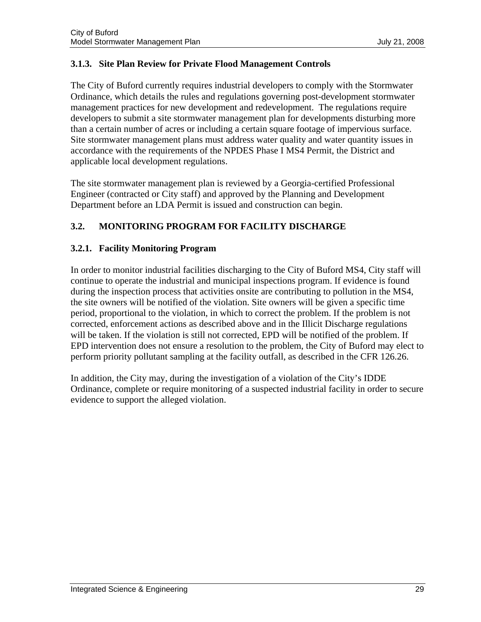# <span id="page-30-0"></span>**3.1.3. Site Plan Review for Private Flood Management Controls**

The City of Buford currently requires industrial developers to comply with the Stormwater Ordinance, which details the rules and regulations governing post-development stormwater management practices for new development and redevelopment. The regulations require developers to submit a site stormwater management plan for developments disturbing more than a certain number of acres or including a certain square footage of impervious surface. Site stormwater management plans must address water quality and water quantity issues in accordance with the requirements of the NPDES Phase I MS4 Permit, the District and applicable local development regulations.

The site stormwater management plan is reviewed by a Georgia-certified Professional Engineer (contracted or City staff) and approved by the Planning and Development Department before an LDA Permit is issued and construction can begin.

# **3.2. MONITORING PROGRAM FOR FACILITY DISCHARGE**

# **3.2.1. Facility Monitoring Program**

In order to monitor industrial facilities discharging to the City of Buford MS4, City staff will continue to operate the industrial and municipal inspections program. If evidence is found during the inspection process that activities onsite are contributing to pollution in the MS4, the site owners will be notified of the violation. Site owners will be given a specific time period, proportional to the violation, in which to correct the problem. If the problem is not corrected, enforcement actions as described above and in the Illicit Discharge regulations will be taken. If the violation is still not corrected, EPD will be notified of the problem. If EPD intervention does not ensure a resolution to the problem, the City of Buford may elect to perform priority pollutant sampling at the facility outfall, as described in the CFR 126.26.

In addition, the City may, during the investigation of a violation of the City's IDDE Ordinance, complete or require monitoring of a suspected industrial facility in order to secure evidence to support the alleged violation.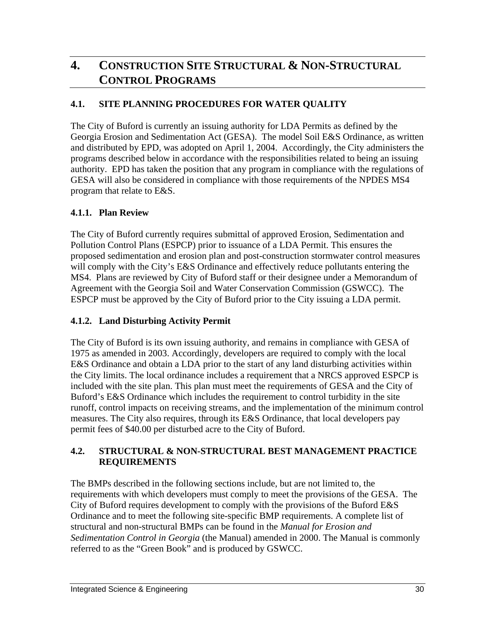# <span id="page-31-0"></span>**4. CONSTRUCTION SITE STRUCTURAL & NON-STRUCTURAL CONTROL PROGRAMS**

# **4.1. SITE PLANNING PROCEDURES FOR WATER QUALITY**

The City of Buford is currently an issuing authority for LDA Permits as defined by the Georgia Erosion and Sedimentation Act (GESA). The model Soil E&S Ordinance, as written and distributed by EPD, was adopted on April 1, 2004. Accordingly, the City administers the programs described below in accordance with the responsibilities related to being an issuing authority. EPD has taken the position that any program in compliance with the regulations of GESA will also be considered in compliance with those requirements of the NPDES MS4 program that relate to E&S.

# **4.1.1. Plan Review**

The City of Buford currently requires submittal of approved Erosion, Sedimentation and Pollution Control Plans (ESPCP) prior to issuance of a LDA Permit. This ensures the proposed sedimentation and erosion plan and post-construction stormwater control measures will comply with the City's E&S Ordinance and effectively reduce pollutants entering the MS4. Plans are reviewed by City of Buford staff or their designee under a Memorandum of Agreement with the Georgia Soil and Water Conservation Commission (GSWCC). The ESPCP must be approved by the City of Buford prior to the City issuing a LDA permit.

# **4.1.2. Land Disturbing Activity Permit**

The City of Buford is its own issuing authority, and remains in compliance with GESA of 1975 as amended in 2003. Accordingly, developers are required to comply with the local E&S Ordinance and obtain a LDA prior to the start of any land disturbing activities within the City limits. The local ordinance includes a requirement that a NRCS approved ESPCP is included with the site plan. This plan must meet the requirements of GESA and the City of Buford's E&S Ordinance which includes the requirement to control turbidity in the site runoff, control impacts on receiving streams, and the implementation of the minimum control measures. The City also requires, through its E&S Ordinance, that local developers pay permit fees of \$40.00 per disturbed acre to the City of Buford.

# **4.2. STRUCTURAL & NON-STRUCTURAL BEST MANAGEMENT PRACTICE REQUIREMENTS**

The BMPs described in the following sections include, but are not limited to, the requirements with which developers must comply to meet the provisions of the GESA. The City of Buford requires development to comply with the provisions of the Buford E&S Ordinance and to meet the following site-specific BMP requirements. A complete list of structural and non-structural BMPs can be found in the *Manual for Erosion and Sedimentation Control in Georgia* (the Manual) amended in 2000. The Manual is commonly referred to as the "Green Book" and is produced by GSWCC.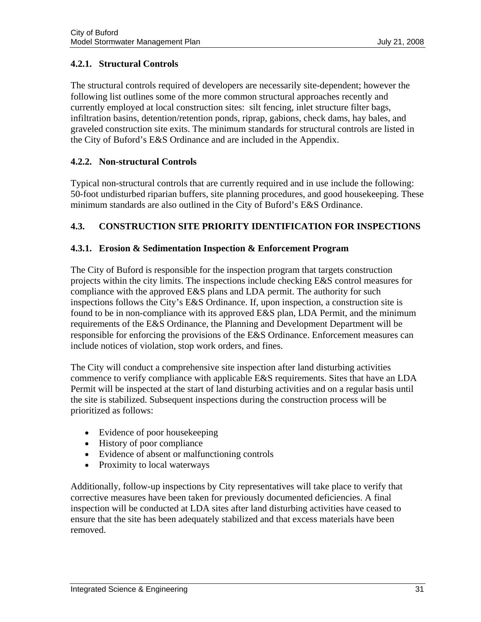# <span id="page-32-0"></span>**4.2.1. Structural Controls**

The structural controls required of developers are necessarily site-dependent; however the following list outlines some of the more common structural approaches recently and currently employed at local construction sites: silt fencing, inlet structure filter bags, infiltration basins, detention/retention ponds, riprap, gabions, check dams, hay bales, and graveled construction site exits. The minimum standards for structural controls are listed in the City of Buford's E&S Ordinance and are included in the Appendix.

# **4.2.2. Non-structural Controls**

Typical non-structural controls that are currently required and in use include the following: 50-foot undisturbed riparian buffers, site planning procedures, and good housekeeping. These minimum standards are also outlined in the City of Buford's E&S Ordinance.

# **4.3. CONSTRUCTION SITE PRIORITY IDENTIFICATION FOR INSPECTIONS**

# **4.3.1. Erosion & Sedimentation Inspection & Enforcement Program**

The City of Buford is responsible for the inspection program that targets construction projects within the city limits. The inspections include checking E&S control measures for compliance with the approved E&S plans and LDA permit. The authority for such inspections follows the City's E&S Ordinance. If, upon inspection, a construction site is found to be in non-compliance with its approved E&S plan, LDA Permit, and the minimum requirements of the E&S Ordinance, the Planning and Development Department will be responsible for enforcing the provisions of the E&S Ordinance. Enforcement measures can include notices of violation, stop work orders, and fines.

The City will conduct a comprehensive site inspection after land disturbing activities commence to verify compliance with applicable E&S requirements. Sites that have an LDA Permit will be inspected at the start of land disturbing activities and on a regular basis until the site is stabilized. Subsequent inspections during the construction process will be prioritized as follows:

- Evidence of poor housekeeping
- History of poor compliance
- Evidence of absent or malfunctioning controls
- Proximity to local waterways

Additionally, follow-up inspections by City representatives will take place to verify that corrective measures have been taken for previously documented deficiencies. A final inspection will be conducted at LDA sites after land disturbing activities have ceased to ensure that the site has been adequately stabilized and that excess materials have been removed.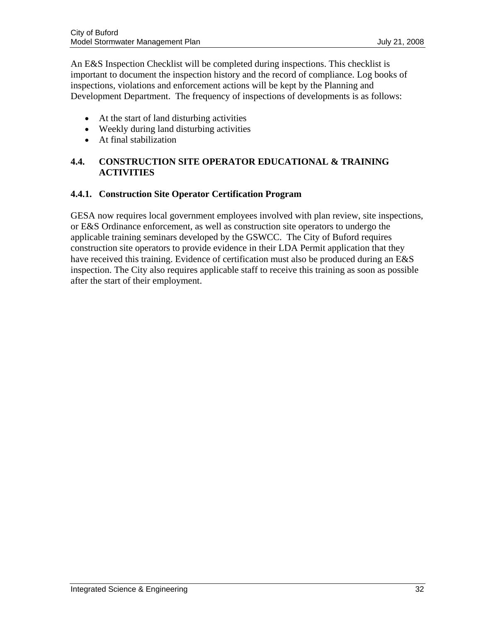<span id="page-33-0"></span>An E&S Inspection Checklist will be completed during inspections. This checklist is important to document the inspection history and the record of compliance. Log books of inspections, violations and enforcement actions will be kept by the Planning and Development Department. The frequency of inspections of developments is as follows:

- At the start of land disturbing activities
- Weekly during land disturbing activities
- At final stabilization

# **4.4. CONSTRUCTION SITE OPERATOR EDUCATIONAL & TRAINING ACTIVITIES**

# **4.4.1. Construction Site Operator Certification Program**

GESA now requires local government employees involved with plan review, site inspections, or E&S Ordinance enforcement, as well as construction site operators to undergo the applicable training seminars developed by the GSWCC. The City of Buford requires construction site operators to provide evidence in their LDA Permit application that they have received this training. Evidence of certification must also be produced during an E&S inspection. The City also requires applicable staff to receive this training as soon as possible after the start of their employment.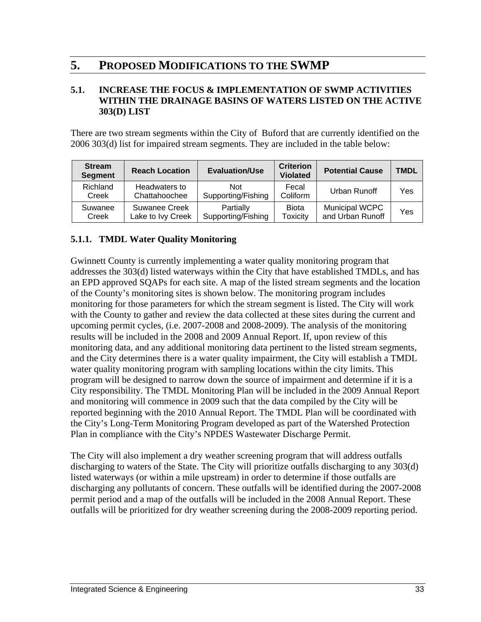# <span id="page-34-0"></span>**5. PROPOSED MODIFICATIONS TO THE SWMP**

# **5.1. INCREASE THE FOCUS & IMPLEMENTATION OF SWMP ACTIVITIES WITHIN THE DRAINAGE BASINS OF WATERS LISTED ON THE ACTIVE 303(D) LIST**

There are two stream segments within the City of Buford that are currently identified on the 2006 303(d) list for impaired stream segments. They are included in the table below:

| <b>Stream</b><br><b>Segment</b> | <b>Reach Location</b>              | <b>Evaluation/Use</b>            | <b>Criterion</b><br><b>Violated</b> | <b>Potential Cause</b>             | <b>TMDL</b> |
|---------------------------------|------------------------------------|----------------------------------|-------------------------------------|------------------------------------|-------------|
| Richland<br>Creek               | Headwaters to<br>Chattahoochee     | <b>Not</b><br>Supporting/Fishing | Fecal<br>Coliform                   | Urban Runoff                       | Yes         |
| Suwanee<br>Creek                | Suwanee Creek<br>Lake to Ivy Creek | Partially<br>Supporting/Fishing  | <b>Biota</b><br><b>Toxicity</b>     | Municipal WCPC<br>and Urban Runoff | Yes         |

# **5.1.1. TMDL Water Quality Monitoring**

Gwinnett County is currently implementing a water quality monitoring program that addresses the 303(d) listed waterways within the City that have established TMDLs, and has an EPD approved SQAPs for each site. A map of the listed stream segments and the location of the County's monitoring sites is shown below. The monitoring program includes monitoring for those parameters for which the stream segment is listed. The City will work with the County to gather and review the data collected at these sites during the current and upcoming permit cycles, (i.e. 2007-2008 and 2008-2009). The analysis of the monitoring results will be included in the 2008 and 2009 Annual Report. If, upon review of this monitoring data, and any additional monitoring data pertinent to the listed stream segments, and the City determines there is a water quality impairment, the City will establish a TMDL water quality monitoring program with sampling locations within the city limits. This program will be designed to narrow down the source of impairment and determine if it is a City responsibility. The TMDL Monitoring Plan will be included in the 2009 Annual Report and monitoring will commence in 2009 such that the data compiled by the City will be reported beginning with the 2010 Annual Report. The TMDL Plan will be coordinated with the City's Long-Term Monitoring Program developed as part of the Watershed Protection Plan in compliance with the City's NPDES Wastewater Discharge Permit.

The City will also implement a dry weather screening program that will address outfalls discharging to waters of the State. The City will prioritize outfalls discharging to any 303(d) listed waterways (or within a mile upstream) in order to determine if those outfalls are discharging any pollutants of concern. These outfalls will be identified during the 2007-2008 permit period and a map of the outfalls will be included in the 2008 Annual Report. These outfalls will be prioritized for dry weather screening during the 2008-2009 reporting period.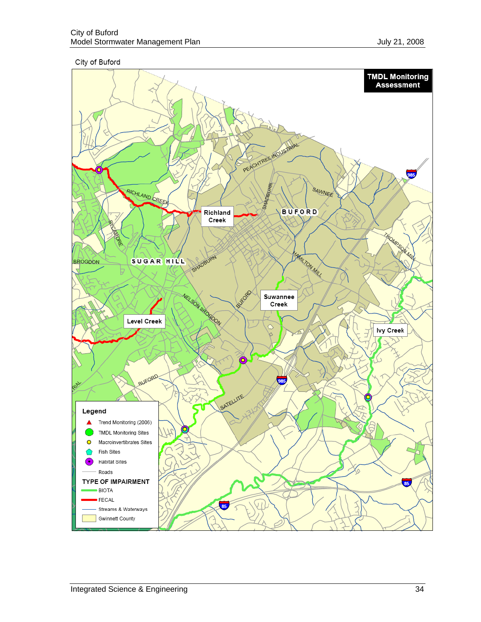City of Buford

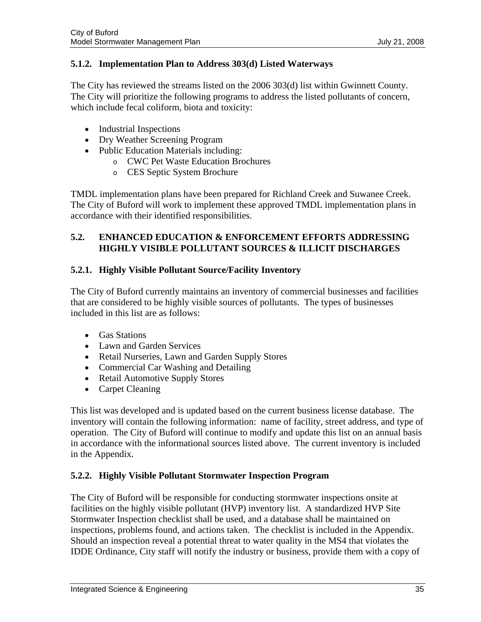# <span id="page-36-0"></span>**5.1.2. Implementation Plan to Address 303(d) Listed Waterways**

The City has reviewed the streams listed on the 2006 303(d) list within Gwinnett County. The City will prioritize the following programs to address the listed pollutants of concern, which include fecal coliform, biota and toxicity:

- Industrial Inspections
- Dry Weather Screening Program
- Public Education Materials including:
	- o CWC Pet Waste Education Brochures
	- o CES Septic System Brochure

TMDL implementation plans have been prepared for Richland Creek and Suwanee Creek. The City of Buford will work to implement these approved TMDL implementation plans in accordance with their identified responsibilities.

# **5.2. ENHANCED EDUCATION & ENFORCEMENT EFFORTS ADDRESSING HIGHLY VISIBLE POLLUTANT SOURCES & ILLICIT DISCHARGES**

# **5.2.1. Highly Visible Pollutant Source/Facility Inventory**

The City of Buford currently maintains an inventory of commercial businesses and facilities that are considered to be highly visible sources of pollutants. The types of businesses included in this list are as follows:

- Gas Stations
- Lawn and Garden Services
- Retail Nurseries, Lawn and Garden Supply Stores
- Commercial Car Washing and Detailing
- Retail Automotive Supply Stores
- Carpet Cleaning

This list was developed and is updated based on the current business license database. The inventory will contain the following information: name of facility, street address, and type of operation. The City of Buford will continue to modify and update this list on an annual basis in accordance with the informational sources listed above. The current inventory is included in the Appendix.

# **5.2.2. Highly Visible Pollutant Stormwater Inspection Program**

The City of Buford will be responsible for conducting stormwater inspections onsite at facilities on the highly visible pollutant (HVP) inventory list. A standardized HVP Site Stormwater Inspection checklist shall be used, and a database shall be maintained on inspections, problems found, and actions taken. The checklist is included in the Appendix. Should an inspection reveal a potential threat to water quality in the MS4 that violates the IDDE Ordinance, City staff will notify the industry or business, provide them with a copy of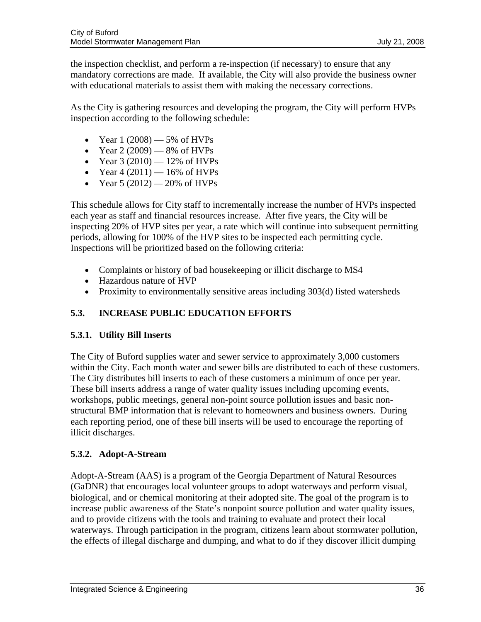<span id="page-37-0"></span>the inspection checklist, and perform a re-inspection (if necessary) to ensure that any mandatory corrections are made. If available, the City will also provide the business owner with educational materials to assist them with making the necessary corrections.

As the City is gathering resources and developing the program, the City will perform HVPs inspection according to the following schedule:

- Year  $1(2008) 5%$  of HVPs
- Year  $2(2009)$  8% of HVPs
- Year  $3(2010) 12\%$  of HVPs
- Year  $4(2011) 16\%$  of HVPs
- Year 5 (2012) 20% of HVPs

This schedule allows for City staff to incrementally increase the number of HVPs inspected each year as staff and financial resources increase. After five years, the City will be inspecting 20% of HVP sites per year, a rate which will continue into subsequent permitting periods, allowing for 100% of the HVP sites to be inspected each permitting cycle. Inspections will be prioritized based on the following criteria:

- Complaints or history of bad housekeeping or illicit discharge to MS4
- Hazardous nature of HVP
- Proximity to environmentally sensitive areas including 303(d) listed watersheds

# **5.3. INCREASE PUBLIC EDUCATION EFFORTS**

# **5.3.1. Utility Bill Inserts**

The City of Buford supplies water and sewer service to approximately 3,000 customers within the City. Each month water and sewer bills are distributed to each of these customers. The City distributes bill inserts to each of these customers a minimum of once per year. These bill inserts address a range of water quality issues including upcoming events, workshops, public meetings, general non-point source pollution issues and basic nonstructural BMP information that is relevant to homeowners and business owners. During each reporting period, one of these bill inserts will be used to encourage the reporting of illicit discharges.

# **5.3.2. Adopt-A-Stream**

Adopt-A-Stream (AAS) is a program of the Georgia Department of Natural Resources (GaDNR) that encourages local volunteer groups to adopt waterways and perform visual, biological, and or chemical monitoring at their adopted site. The goal of the program is to increase public awareness of the State's nonpoint source pollution and water quality issues, and to provide citizens with the tools and training to evaluate and protect their local waterways. Through participation in the program, citizens learn about stormwater pollution, the effects of illegal discharge and dumping, and what to do if they discover illicit dumping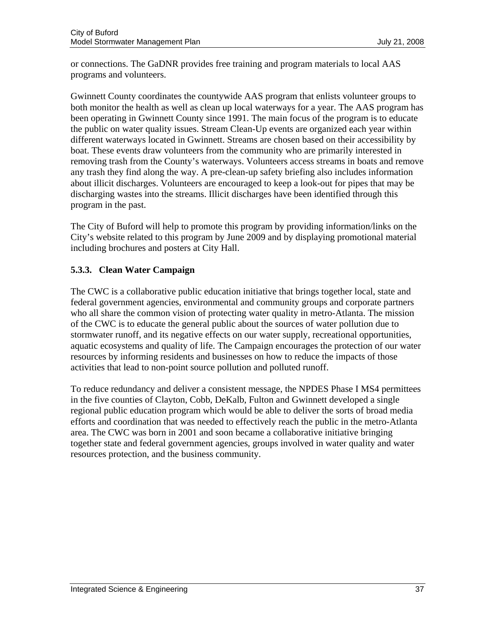or connections. The GaDNR provides free training and program materials to local AAS programs and volunteers.

Gwinnett County coordinates the countywide AAS program that enlists volunteer groups to both monitor the health as well as clean up local waterways for a year. The AAS program has been operating in Gwinnett County since 1991. The main focus of the program is to educate the public on water quality issues. Stream Clean-Up events are organized each year within different waterways located in Gwinnett. Streams are chosen based on their accessibility by boat. These events draw volunteers from the community who are primarily interested in removing trash from the County's waterways. Volunteers access streams in boats and remove any trash they find along the way. A pre-clean-up safety briefing also includes information about illicit discharges. Volunteers are encouraged to keep a look-out for pipes that may be discharging wastes into the streams. Illicit discharges have been identified through this program in the past.

The City of Buford will help to promote this program by providing information/links on the City's website related to this program by June 2009 and by displaying promotional material including brochures and posters at City Hall.

# **5.3.3. Clean Water Campaign**

The CWC is a collaborative public education initiative that brings together local, state and federal government agencies, environmental and community groups and corporate partners who all share the common vision of protecting water quality in metro-Atlanta. The mission of the CWC is to educate the general public about the sources of water pollution due to stormwater runoff, and its negative effects on our water supply, recreational opportunities, aquatic ecosystems and quality of life. The Campaign encourages the protection of our water resources by informing residents and businesses on how to reduce the impacts of those activities that lead to non-point source pollution and polluted runoff.

To reduce redundancy and deliver a consistent message, the NPDES Phase I MS4 permittees in the five counties of Clayton, Cobb, DeKalb, Fulton and Gwinnett developed a single regional public education program which would be able to deliver the sorts of broad media efforts and coordination that was needed to effectively reach the public in the metro-Atlanta area. The CWC was born in 2001 and soon became a collaborative initiative bringing together state and federal government agencies, groups involved in water quality and water resources protection, and the business community.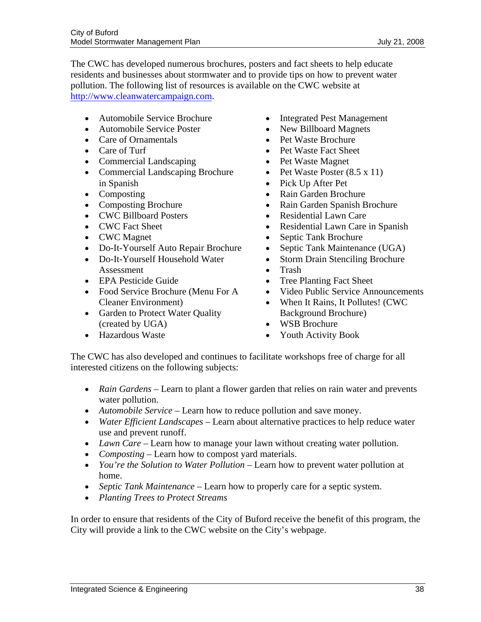The CWC has developed numerous brochures, posters and fact sheets to help educate residents and businesses about stormwater and to provide tips on how to prevent water pollution. The following list of resources is available on the CWC website at [http://www.cleanwatercampaign.com.](http://www.cleanwatercampaign.com/)

- Automobile Service Brochure
- Automobile Service Poster
- Care of Ornamentals
- Care of Turf
- Commercial Landscaping
- Commercial Landscaping Brochure in Spanish
- Composting
- Composting Brochure
- CWC Billboard Posters
- CWC Fact Sheet
- CWC Magnet
- Do-It-Yourself Auto Repair Brochure
- Do-It-Yourself Household Water Assessment
- EPA Pesticide Guide
- Food Service Brochure (Menu For A Cleaner Environment)
- Garden to Protect Water Quality (created by UGA)
- Hazardous Waste
- Integrated Pest Management
- New Billboard Magnets
- Pet Waste Brochure
- Pet Waste Fact Sheet
- Pet Waste Magnet
- Pet Waste Poster (8.5 x 11)
- Pick Up After Pet
- Rain Garden Brochure
- Rain Garden Spanish Brochure
- Residential Lawn Care
- Residential Lawn Care in Spanish
- Septic Tank Brochure
- Septic Tank Maintenance (UGA)
- Storm Drain Stenciling Brochure
- Trash
- Tree Planting Fact Sheet
- Video Public Service Announcements
- When It Rains, It Pollutes! (CWC Background Brochure)
- WSB Brochure
- Youth Activity Book

The CWC has also developed and continues to facilitate workshops free of charge for all interested citizens on the following subjects:

- *Rain Gardens* Learn to plant a flower garden that relies on rain water and prevents water pollution.
- *Automobile Service* Learn how to reduce pollution and save money.
- *Water Efficient Landscapes* Learn about alternative practices to help reduce water use and prevent runoff.
- *Lawn Care* Learn how to manage your lawn without creating water pollution.
- *Composting* Learn how to compost yard materials.
- *You're the Solution to Water Pollution* Learn how to prevent water pollution at home.
- *Septic Tank Maintenance* Learn how to properly care for a septic system.
- *Planting Trees to Protect Streams*

In order to ensure that residents of the City of Buford receive the benefit of this program, the City will provide a link to the CWC website on the City's webpage.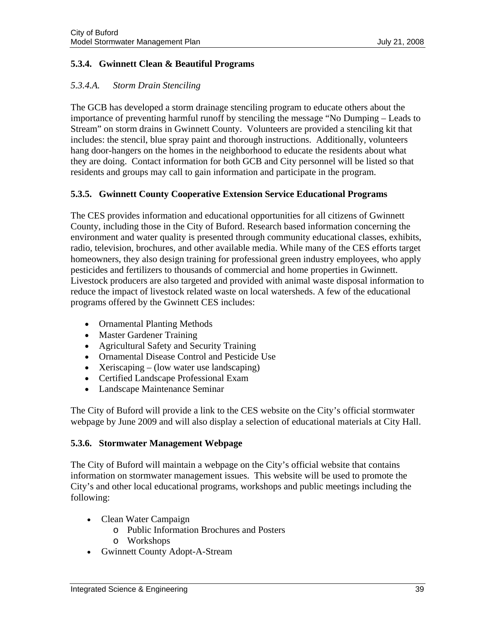# **5.3.4. Gwinnett Clean & Beautiful Programs**

# *5.3.4.A. Storm Drain Stenciling*

The GCB has developed a storm drainage stenciling program to educate others about the importance of preventing harmful runoff by stenciling the message "No Dumping – Leads to Stream" on storm drains in Gwinnett County. Volunteers are provided a stenciling kit that includes: the stencil, blue spray paint and thorough instructions. Additionally, volunteers hang door-hangers on the homes in the neighborhood to educate the residents about what they are doing. Contact information for both GCB and City personnel will be listed so that residents and groups may call to gain information and participate in the program.

# **5.3.5. Gwinnett County Cooperative Extension Service Educational Programs**

The CES provides information and educational opportunities for all citizens of Gwinnett County, including those in the City of Buford. Research based information concerning the environment and water quality is presented through community educational classes, exhibits, radio, television, brochures, and other available media. While many of the CES efforts target homeowners, they also design training for professional green industry employees, who apply pesticides and fertilizers to thousands of commercial and home properties in Gwinnett. Livestock producers are also targeted and provided with animal waste disposal information to reduce the impact of livestock related waste on local watersheds. A few of the educational programs offered by the Gwinnett CES includes:

- Ornamental Planting Methods
- Master Gardener Training
- Agricultural Safety and Security Training
- Ornamental Disease Control and Pesticide Use
- Xeriscaping (low water use landscaping)
- Certified Landscape Professional Exam
- Landscape Maintenance Seminar

The City of Buford will provide a link to the CES website on the City's official stormwater webpage by June 2009 and will also display a selection of educational materials at City Hall.

# **5.3.6. Stormwater Management Webpage**

The City of Buford will maintain a webpage on the City's official website that contains information on stormwater management issues. This website will be used to promote the City's and other local educational programs, workshops and public meetings including the following:

- Clean Water Campaign
	- o Public Information Brochures and Posters
	- o Workshops
- Gwinnett County Adopt-A-Stream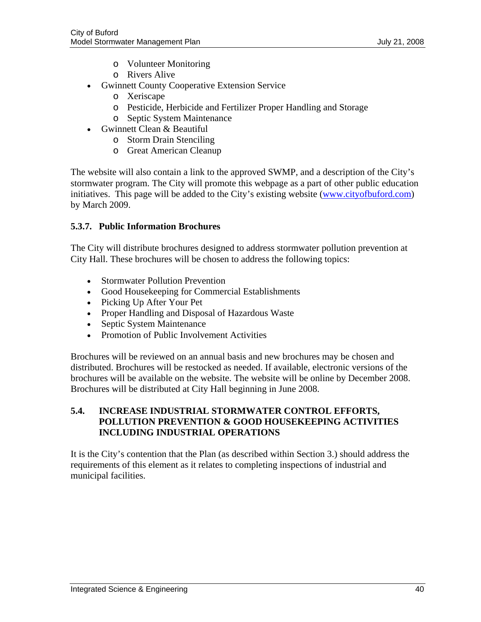- o Volunteer Monitoring
- o Rivers Alive
- <span id="page-41-0"></span>• Gwinnett County Cooperative Extension Service
	- o Xeriscape
	- o Pesticide, Herbicide and Fertilizer Proper Handling and Storage
	- o Septic System Maintenance
- Gwinnett Clean & Beautiful
	- o Storm Drain Stenciling
		- o Great American Cleanup

The website will also contain a link to the approved SWMP, and a description of the City's stormwater program. The City will promote this webpage as a part of other public education initiatives. This page will be added to the City's existing website ([www.cityofbuford.com\)](http://www.cityofbuford.com/) by March 2009.

# **5.3.7. Public Information Brochures**

The City will distribute brochures designed to address stormwater pollution prevention at City Hall. These brochures will be chosen to address the following topics:

- **Stormwater Pollution Prevention**
- Good Housekeeping for Commercial Establishments
- Picking Up After Your Pet
- Proper Handling and Disposal of Hazardous Waste
- Septic System Maintenance
- Promotion of Public Involvement Activities

Brochures will be reviewed on an annual basis and new brochures may be chosen and distributed. Brochures will be restocked as needed. If available, electronic versions of the brochures will be available on the website. The website will be online by December 2008. Brochures will be distributed at City Hall beginning in June 2008.

# **5.4. INCREASE INDUSTRIAL STORMWATER CONTROL EFFORTS, POLLUTION PREVENTION & GOOD HOUSEKEEPING ACTIVITIES INCLUDING INDUSTRIAL OPERATIONS**

It is the City's contention that the Plan (as described within Section 3.) should address the requirements of this element as it relates to completing inspections of industrial and municipal facilities.